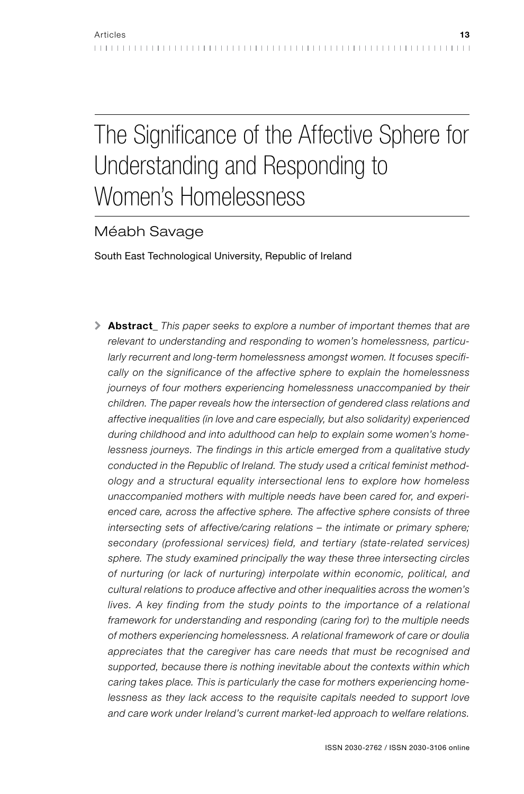# The Significance of the Affective Sphere for Understanding and Responding to Women's Homelessness

# Méabh Savage

South East Technological University, Republic of Ireland

\ Abstract*\_ This paper seeks to explore a number of important themes that are relevant to understanding and responding to women's homelessness, particularly recurrent and long-term homelessness amongst women. It focuses specifically on the significance of the affective sphere to explain the homelessness journeys of four mothers experiencing homelessness unaccompanied by their children. The paper reveals how the intersection of gendered class relations and affective inequalities (in love and care especially, but also solidarity) experienced during childhood and into adulthood can help to explain some women's homelessness journeys. The findings in this article emerged from a qualitative study conducted in the Republic of Ireland. The study used a critical feminist methodology and a structural equality intersectional lens to explore how homeless unaccompanied mothers with multiple needs have been cared for, and experienced care, across the affective sphere. The affective sphere consists of three intersecting sets of affective/caring relations – the intimate or primary sphere; secondary (professional services) field, and tertiary (state-related services) sphere. The study examined principally the way these three intersecting circles of nurturing (or lack of nurturing) interpolate within economic, political, and cultural relations to produce affective and other inequalities across the women's*  lives. A key finding from the study points to the importance of a relational *framework for understanding and responding (caring for) to the multiple needs of mothers experiencing homelessness. A relational framework of care or doulia appreciates that the caregiver has care needs that must be recognised and supported, because there is nothing inevitable about the contexts within which caring takes place. This is particularly the case for mothers experiencing homelessness as they lack access to the requisite capitals needed to support love and care work under Ireland's current market-led approach to welfare relations.*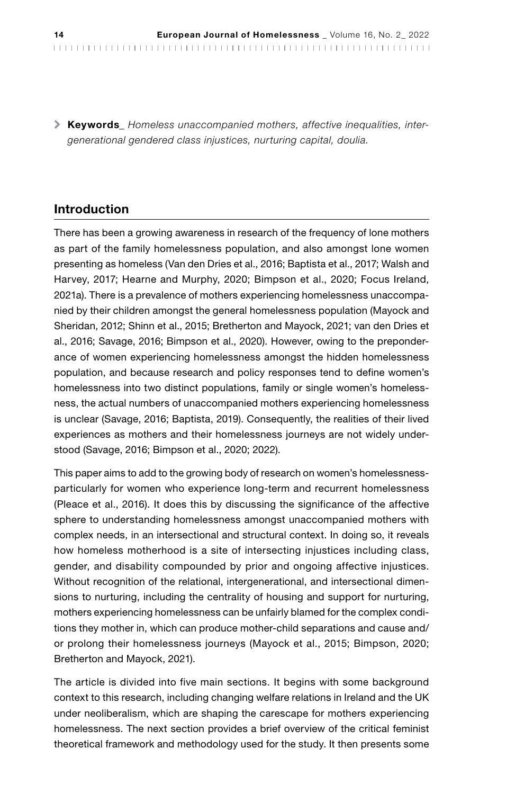\ Keywords*\_ Homeless unaccompanied mothers, affective inequalities, intergenerational gendered class injustices, nurturing capital, doulia.*

## Introduction

There has been a growing awareness in research of the frequency of lone mothers as part of the family homelessness population, and also amongst lone women presenting as homeless (Van den Dries et al., 2016; Baptista et al., 2017; Walsh and Harvey, 2017; Hearne and Murphy, 2020; Bimpson et al., 2020; Focus Ireland, 2021a). There is a prevalence of mothers experiencing homelessness unaccompanied by their children amongst the general homelessness population (Mayock and Sheridan, 2012; Shinn et al., 2015; Bretherton and Mayock, 2021; van den Dries et al., 2016; Savage, 2016; Bimpson et al., 2020). However, owing to the preponderance of women experiencing homelessness amongst the hidden homelessness population, and because research and policy responses tend to define women's homelessness into two distinct populations, family or single women's homelessness, the actual numbers of unaccompanied mothers experiencing homelessness is unclear (Savage, 2016; Baptista, 2019). Consequently, the realities of their lived experiences as mothers and their homelessness journeys are not widely understood (Savage, 2016; Bimpson et al., 2020; 2022).

This paper aims to add to the growing body of research on women's homelessnessparticularly for women who experience long-term and recurrent homelessness (Pleace et al., 2016). It does this by discussing the significance of the affective sphere to understanding homelessness amongst unaccompanied mothers with complex needs, in an intersectional and structural context. In doing so, it reveals how homeless motherhood is a site of intersecting injustices including class, gender, and disability compounded by prior and ongoing affective injustices. Without recognition of the relational, intergenerational, and intersectional dimensions to nurturing, including the centrality of housing and support for nurturing, mothers experiencing homelessness can be unfairly blamed for the complex conditions they mother in, which can produce mother-child separations and cause and/ or prolong their homelessness journeys (Mayock et al., 2015; Bimpson, 2020; Bretherton and Mayock, 2021).

The article is divided into five main sections. It begins with some background context to this research, including changing welfare relations in Ireland and the UK under neoliberalism, which are shaping the carescape for mothers experiencing homelessness. The next section provides a brief overview of the critical feminist theoretical framework and methodology used for the study. It then presents some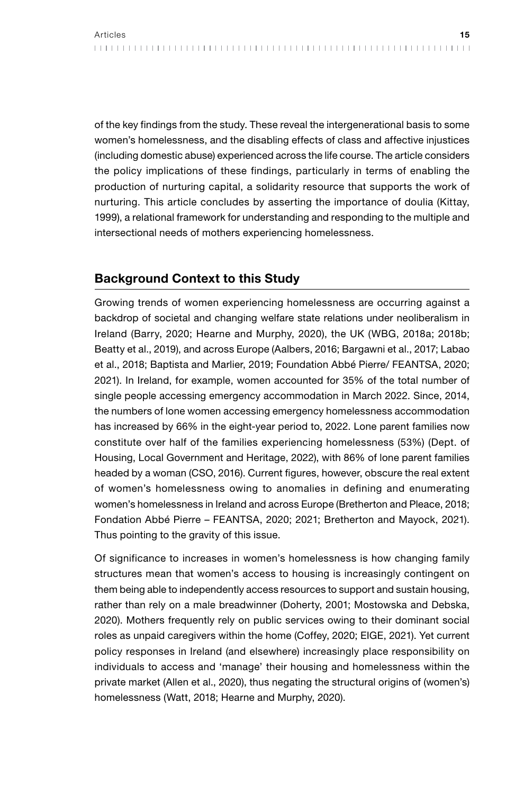of the key findings from the study. These reveal the intergenerational basis to some women's homelessness, and the disabling effects of class and affective injustices (including domestic abuse) experienced across the life course. The article considers the policy implications of these findings, particularly in terms of enabling the production of nurturing capital, a solidarity resource that supports the work of nurturing. This article concludes by asserting the importance of doulia (Kittay, 1999), a relational framework for understanding and responding to the multiple and intersectional needs of mothers experiencing homelessness.

# Background Context to this Study

Growing trends of women experiencing homelessness are occurring against a backdrop of societal and changing welfare state relations under neoliberalism in Ireland (Barry, 2020; Hearne and Murphy, 2020), the UK (WBG, 2018a; 2018b; Beatty et al., 2019), and across Europe (Aalbers, 2016; Bargawni et al., 2017; Labao et al., 2018; Baptista and Marlier, 2019; Foundation Abbé Pierre/ FEANTSA, 2020; 2021). In Ireland, for example, women accounted for 35% of the total number of single people accessing emergency accommodation in March 2022. Since, 2014, the numbers of lone women accessing emergency homelessness accommodation has increased by 66% in the eight-year period to, 2022. Lone parent families now constitute over half of the families experiencing homelessness (53%) (Dept. of Housing, Local Government and Heritage, 2022), with 86% of lone parent families headed by a woman (CSO, 2016). Current figures, however, obscure the real extent of women's homelessness owing to anomalies in defining and enumerating women's homelessness in Ireland and across Europe (Bretherton and Pleace, 2018; Fondation Abbé Pierre – FEANTSA, 2020; 2021; Bretherton and Mayock, 2021). Thus pointing to the gravity of this issue.

Of significance to increases in women's homelessness is how changing family structures mean that women's access to housing is increasingly contingent on them being able to independently access resources to support and sustain housing, rather than rely on a male breadwinner (Doherty, 2001; Mostowska and Debska, 2020). Mothers frequently rely on public services owing to their dominant social roles as unpaid caregivers within the home (Coffey, 2020; EIGE, 2021). Yet current policy responses in Ireland (and elsewhere) increasingly place responsibility on individuals to access and 'manage' their housing and homelessness within the private market (Allen et al., 2020), thus negating the structural origins of (women's) homelessness (Watt, 2018; Hearne and Murphy, 2020).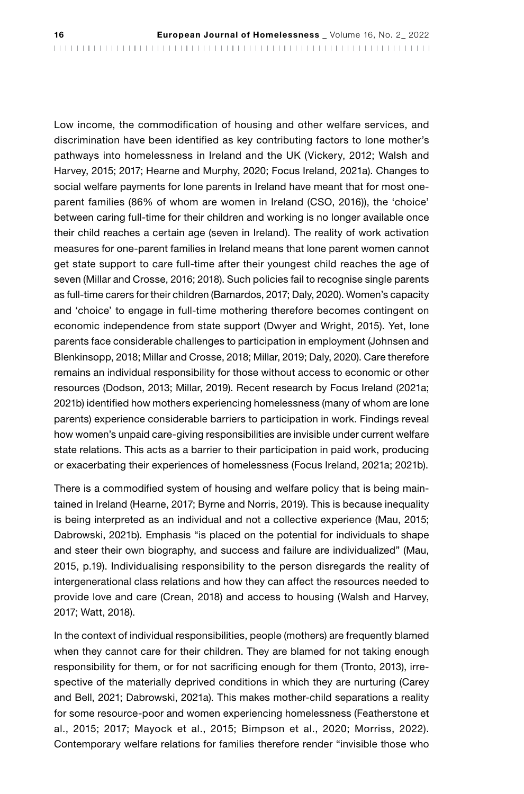Low income, the commodification of housing and other welfare services, and discrimination have been identified as key contributing factors to lone mother's pathways into homelessness in Ireland and the UK (Vickery, 2012; Walsh and Harvey, 2015; 2017; Hearne and Murphy, 2020; Focus Ireland, 2021a). Changes to social welfare payments for lone parents in Ireland have meant that for most oneparent families (86% of whom are women in Ireland (CSO, 2016)), the 'choice' between caring full-time for their children and working is no longer available once their child reaches a certain age (seven in Ireland). The reality of work activation measures for one-parent families in Ireland means that lone parent women cannot get state support to care full-time after their youngest child reaches the age of seven (Millar and Crosse, 2016; 2018). Such policies fail to recognise single parents as full-time carers for their children (Barnardos, 2017; Daly, 2020). Women's capacity and 'choice' to engage in full-time mothering therefore becomes contingent on economic independence from state support (Dwyer and Wright, 2015). Yet, lone parents face considerable challenges to participation in employment (Johnsen and Blenkinsopp, 2018; Millar and Crosse, 2018; Millar, 2019; Daly, 2020). Care therefore remains an individual responsibility for those without access to economic or other resources (Dodson, 2013; Millar, 2019). Recent research by Focus Ireland (2021a; 2021b) identified how mothers experiencing homelessness (many of whom are lone parents) experience considerable barriers to participation in work. Findings reveal how women's unpaid care-giving responsibilities are invisible under current welfare state relations. This acts as a barrier to their participation in paid work, producing or exacerbating their experiences of homelessness (Focus Ireland, 2021a; 2021b).

There is a commodified system of housing and welfare policy that is being maintained in Ireland (Hearne, 2017; Byrne and Norris, 2019). This is because inequality is being interpreted as an individual and not a collective experience (Mau, 2015; Dabrowski, 2021b). Emphasis "is placed on the potential for individuals to shape and steer their own biography, and success and failure are individualized" (Mau, 2015, p.19). Individualising responsibility to the person disregards the reality of intergenerational class relations and how they can affect the resources needed to provide love and care (Crean, 2018) and access to housing (Walsh and Harvey, 2017; Watt, 2018).

In the context of individual responsibilities, people (mothers) are frequently blamed when they cannot care for their children. They are blamed for not taking enough responsibility for them, or for not sacrificing enough for them (Tronto, 2013), irrespective of the materially deprived conditions in which they are nurturing (Carey and Bell, 2021; Dabrowski, 2021a). This makes mother-child separations a reality for some resource-poor and women experiencing homelessness (Featherstone et al., 2015; 2017; Mayock et al., 2015; Bimpson et al., 2020; Morriss, 2022). Contemporary welfare relations for families therefore render "invisible those who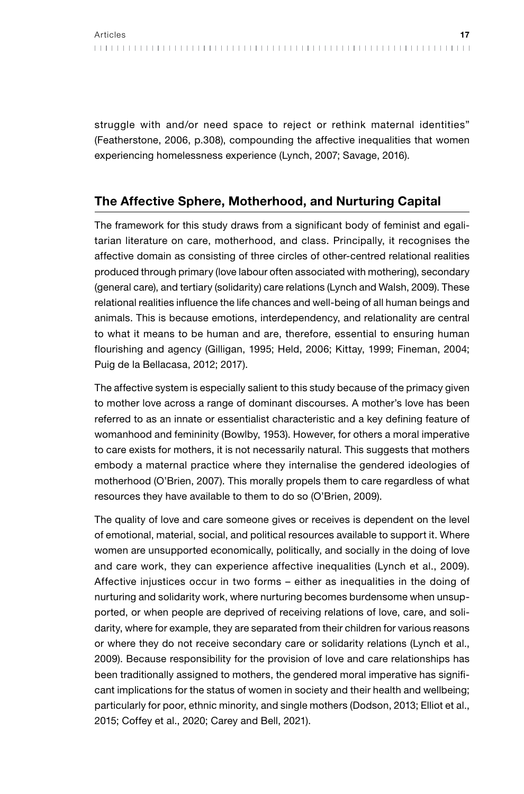struggle with and/or need space to reject or rethink maternal identities" (Featherstone, 2006, p.308), compounding the affective inequalities that women experiencing homelessness experience (Lynch, 2007; Savage, 2016).

# The Affective Sphere, Motherhood, and Nurturing Capital

The framework for this study draws from a significant body of feminist and egalitarian literature on care, motherhood, and class. Principally, it recognises the affective domain as consisting of three circles of other-centred relational realities produced through primary (love labour often associated with mothering), secondary (general care), and tertiary (solidarity) care relations (Lynch and Walsh, 2009). These relational realities influence the life chances and well-being of all human beings and animals. This is because emotions, interdependency, and relationality are central to what it means to be human and are, therefore, essential to ensuring human flourishing and agency (Gilligan, 1995; Held, 2006; Kittay, 1999; Fineman, 2004; Puig de la Bellacasa, 2012; 2017).

The affective system is especially salient to this study because of the primacy given to mother love across a range of dominant discourses. A mother's love has been referred to as an innate or essentialist characteristic and a key defining feature of womanhood and femininity (Bowlby, 1953). However, for others a moral imperative to care exists for mothers, it is not necessarily natural. This suggests that mothers embody a maternal practice where they internalise the gendered ideologies of motherhood (O'Brien, 2007). This morally propels them to care regardless of what resources they have available to them to do so (O'Brien, 2009).

The quality of love and care someone gives or receives is dependent on the level of emotional, material, social, and political resources available to support it. Where women are unsupported economically, politically, and socially in the doing of love and care work, they can experience affective inequalities (Lynch et al., 2009). Affective injustices occur in two forms – either as inequalities in the doing of nurturing and solidarity work, where nurturing becomes burdensome when unsupported, or when people are deprived of receiving relations of love, care, and solidarity, where for example, they are separated from their children for various reasons or where they do not receive secondary care or solidarity relations (Lynch et al., 2009). Because responsibility for the provision of love and care relationships has been traditionally assigned to mothers, the gendered moral imperative has significant implications for the status of women in society and their health and wellbeing; particularly for poor, ethnic minority, and single mothers (Dodson, 2013; Elliot et al., 2015; Coffey et al., 2020; Carey and Bell, 2021).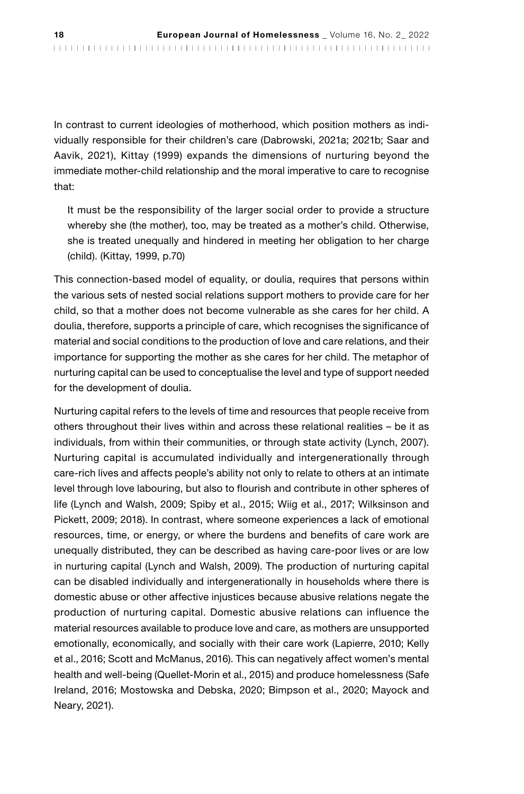In contrast to current ideologies of motherhood, which position mothers as individually responsible for their children's care (Dabrowski, 2021a; 2021b; Saar and Aavik, 2021), Kittay (1999) expands the dimensions of nurturing beyond the immediate mother-child relationship and the moral imperative to care to recognise that:

It must be the responsibility of the larger social order to provide a structure whereby she (the mother), too, may be treated as a mother's child. Otherwise, she is treated unequally and hindered in meeting her obligation to her charge (child). (Kittay, 1999, p.70)

This connection-based model of equality, or doulia, requires that persons within the various sets of nested social relations support mothers to provide care for her child, so that a mother does not become vulnerable as she cares for her child. A doulia, therefore, supports a principle of care, which recognises the significance of material and social conditions to the production of love and care relations, and their importance for supporting the mother as she cares for her child. The metaphor of nurturing capital can be used to conceptualise the level and type of support needed for the development of doulia.

Nurturing capital refers to the levels of time and resources that people receive from others throughout their lives within and across these relational realities – be it as individuals, from within their communities, or through state activity (Lynch, 2007). Nurturing capital is accumulated individually and intergenerationally through care-rich lives and affects people's ability not only to relate to others at an intimate level through love labouring, but also to flourish and contribute in other spheres of life (Lynch and Walsh, 2009; Spiby et al., 2015; Wiig et al., 2017; Wilksinson and Pickett, 2009; 2018). In contrast, where someone experiences a lack of emotional resources, time, or energy, or where the burdens and benefits of care work are unequally distributed, they can be described as having care-poor lives or are low in nurturing capital (Lynch and Walsh, 2009). The production of nurturing capital can be disabled individually and intergenerationally in households where there is domestic abuse or other affective injustices because abusive relations negate the production of nurturing capital. Domestic abusive relations can influence the material resources available to produce love and care, as mothers are unsupported emotionally, economically, and socially with their care work (Lapierre, 2010; Kelly et al., 2016; Scott and McManus, 2016). This can negatively affect women's mental health and well-being (Quellet-Morin et al., 2015) and produce homelessness (Safe Ireland, 2016; Mostowska and Debska, 2020; Bimpson et al., 2020; Mayock and Neary, 2021).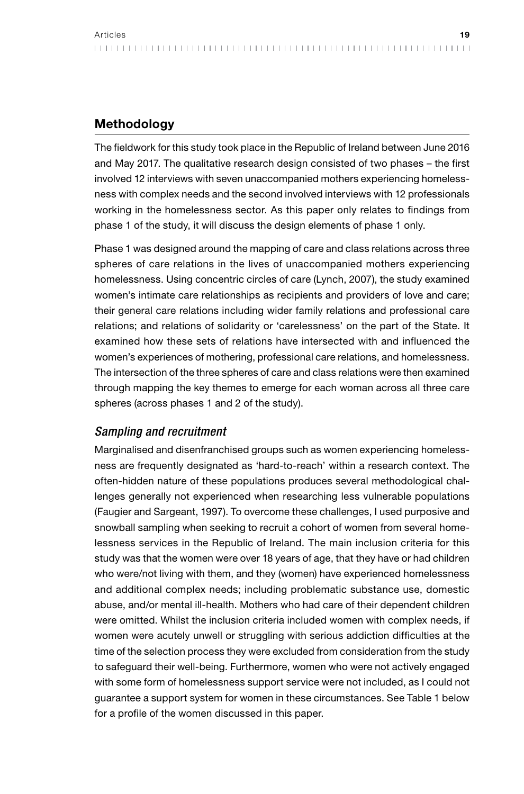## **Methodology**

The fieldwork for this study took place in the Republic of Ireland between June 2016 and May 2017. The qualitative research design consisted of two phases – the first involved 12 interviews with seven unaccompanied mothers experiencing homelessness with complex needs and the second involved interviews with 12 professionals working in the homelessness sector. As this paper only relates to findings from phase 1 of the study, it will discuss the design elements of phase 1 only.

Phase 1 was designed around the mapping of care and class relations across three spheres of care relations in the lives of unaccompanied mothers experiencing homelessness. Using concentric circles of care (Lynch, 2007), the study examined women's intimate care relationships as recipients and providers of love and care; their general care relations including wider family relations and professional care relations; and relations of solidarity or 'carelessness' on the part of the State. It examined how these sets of relations have intersected with and influenced the women's experiences of mothering, professional care relations, and homelessness. The intersection of the three spheres of care and class relations were then examined through mapping the key themes to emerge for each woman across all three care spheres (across phases 1 and 2 of the study).

## *Sampling and recruitment*

Marginalised and disenfranchised groups such as women experiencing homelessness are frequently designated as 'hard-to-reach' within a research context. The often-hidden nature of these populations produces several methodological challenges generally not experienced when researching less vulnerable populations (Faugier and Sargeant, 1997). To overcome these challenges, I used purposive and snowball sampling when seeking to recruit a cohort of women from several homelessness services in the Republic of Ireland. The main inclusion criteria for this study was that the women were over 18 years of age, that they have or had children who were/not living with them, and they (women) have experienced homelessness and additional complex needs; including problematic substance use, domestic abuse, and/or mental ill-health. Mothers who had care of their dependent children were omitted. Whilst the inclusion criteria included women with complex needs, if women were acutely unwell or struggling with serious addiction difficulties at the time of the selection process they were excluded from consideration from the study to safeguard their well-being. Furthermore, women who were not actively engaged with some form of homelessness support service were not included, as I could not guarantee a support system for women in these circumstances. See Table 1 below for a profile of the women discussed in this paper.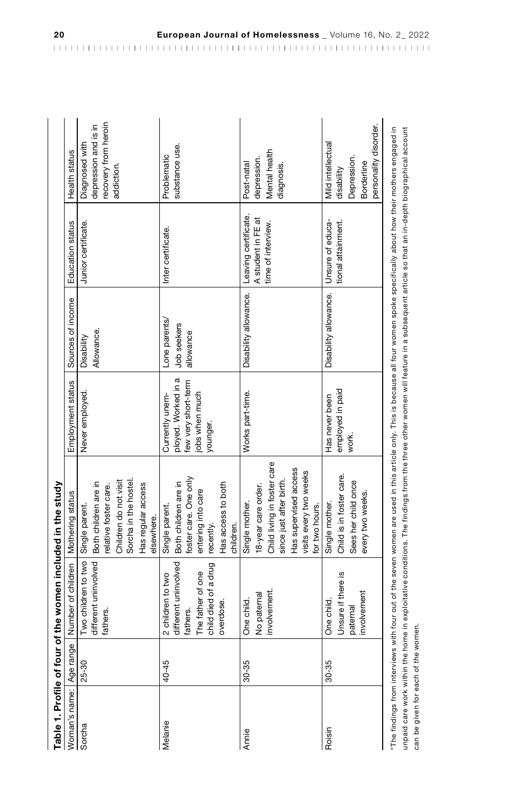| Table 1. Profile of four                                    |                               | r of the women included in the study                                                                            |                                                                                                                                                                                                                                                                                                                                             |                                                                                             |                                           |                                                                  |                                                                                       |
|-------------------------------------------------------------|-------------------------------|-----------------------------------------------------------------------------------------------------------------|---------------------------------------------------------------------------------------------------------------------------------------------------------------------------------------------------------------------------------------------------------------------------------------------------------------------------------------------|---------------------------------------------------------------------------------------------|-------------------------------------------|------------------------------------------------------------------|---------------------------------------------------------------------------------------|
| Woman's name:   Age rang                                    | $\mathbf{\underline{\omega}}$ | Number of children                                                                                              | Mothering status                                                                                                                                                                                                                                                                                                                            | Employment status                                                                           | Sources of income                         | Education status                                                 | Health status                                                                         |
| Sorcha                                                      | 25-30                         | different uninvolved<br>Two children to two<br>fathers                                                          | Children do not visit<br>Sorcha in the hostel<br>Both children are in<br>Has regular access<br>relative foster care.<br>Single parent.<br>elsewhere.                                                                                                                                                                                        | Never employed.                                                                             | Allowance.<br>Disability                  | Junior certificate.                                              | recovery from heroin<br>depression and is in<br>Diagnosed with<br>addiction.          |
| Melanie                                                     | 40-45                         | different uninvolved<br>child died of a drug<br>The father of one<br>2 children to two<br>overdose.<br>fathers. | foster care. One only<br>Both children are in<br>Has access to both<br>entering into care<br>Single parent.<br>children.<br>recently.                                                                                                                                                                                                       | ployed. Worked in a<br>few very short-term<br>jobs when much<br>Currently unem-<br>younger. | Lone parents/<br>Job seekers<br>allowance | Inter certificate.                                               | substance use.<br>Problematic                                                         |
| Annie                                                       | 30-35                         | nvolvement.<br>No paternal<br>One child.                                                                        | Child living in foster care<br>Has supervised access<br>visits every two weeks<br>since just after birth.<br>18-year care order.<br>Single mother.<br>for two hours.                                                                                                                                                                        | Works part-time.                                                                            | Disability allowance.                     | Leaving certificate.<br>A student in FE at<br>time of interview. | Mental health<br>depression.<br>diagnosis.<br>Post-natal                              |
| Roisin                                                      | 30-35                         | Unsure if there is<br>involvement<br>One child.<br>paternal                                                     | Child is in foster care.<br>Sees her child once<br>every two weeks.<br>Single mother.                                                                                                                                                                                                                                                       | employed in paid<br>Has never been<br>work.                                                 | Disability allowance.                     | Unsure of educa-<br>tional attainment.                           | personality disorder.<br>Mild intellectual<br>Depression.<br>Borderline<br>disability |
| unpaid care work within the<br>can be given for each of the |                               | women.                                                                                                          | The findings from interviews with four out of the seven women are used in this article only. This is because all four women spoke specifically about how their mothers engaged in<br>home in exploitative conditions. The findings from the three other women will feature in a subsequent article so that an in-depth biographical account |                                                                                             |                                           |                                                                  |                                                                                       |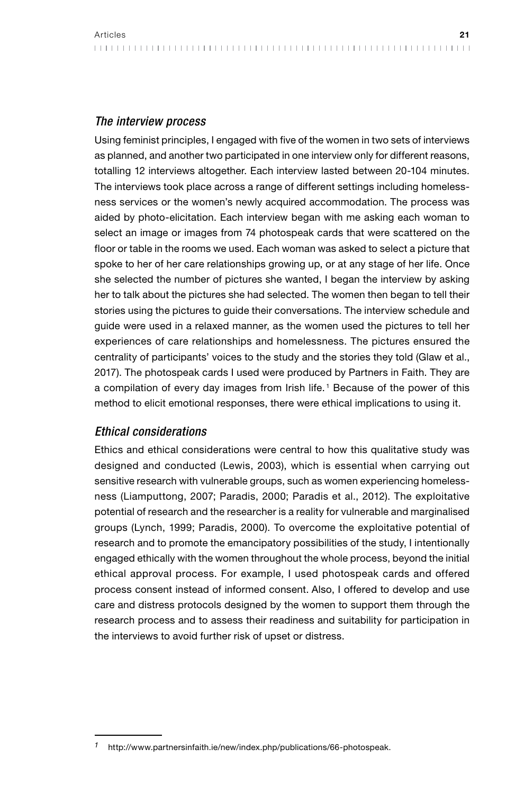Using feminist principles, I engaged with five of the women in two sets of interviews as planned, and another two participated in one interview only for different reasons, totalling 12 interviews altogether. Each interview lasted between 20-104 minutes. The interviews took place across a range of different settings including homelessness services or the women's newly acquired accommodation. The process was aided by photo-elicitation. Each interview began with me asking each woman to select an image or images from 74 photospeak cards that were scattered on the floor or table in the rooms we used. Each woman was asked to select a picture that spoke to her of her care relationships growing up, or at any stage of her life. Once she selected the number of pictures she wanted, I began the interview by asking her to talk about the pictures she had selected. The women then began to tell their stories using the pictures to guide their conversations. The interview schedule and guide were used in a relaxed manner, as the women used the pictures to tell her experiences of care relationships and homelessness. The pictures ensured the centrality of participants' voices to the study and the stories they told (Glaw et al., 2017). The photospeak cards I used were produced by Partners in Faith. They are a compilation of every day images from Irish life. <sup>1</sup> Because of the power of this method to elicit emotional responses, there were ethical implications to using it.

## *Ethical considerations*

Ethics and ethical considerations were central to how this qualitative study was designed and conducted (Lewis, 2003), which is essential when carrying out sensitive research with vulnerable groups, such as women experiencing homelessness (Liamputtong, 2007; Paradis, 2000; Paradis et al., 2012). The exploitative potential of research and the researcher is a reality for vulnerable and marginalised groups (Lynch, 1999; Paradis, 2000). To overcome the exploitative potential of research and to promote the emancipatory possibilities of the study, I intentionally engaged ethically with the women throughout the whole process, beyond the initial ethical approval process. For example, I used photospeak cards and offered process consent instead of informed consent. Also, I offered to develop and use care and distress protocols designed by the women to support them through the research process and to assess their readiness and suitability for participation in the interviews to avoid further risk of upset or distress.

*<sup>1</sup>* http://www.partnersinfaith.ie/new/index.php/publications/66-photospeak.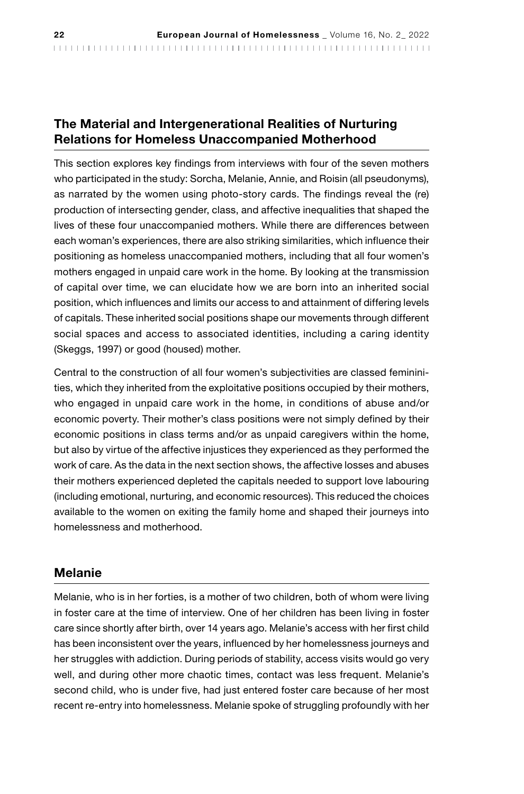# The Material and Intergenerational Realities of Nurturing Relations for Homeless Unaccompanied Motherhood

This section explores key findings from interviews with four of the seven mothers who participated in the study: Sorcha, Melanie, Annie, and Roisin (all pseudonyms), as narrated by the women using photo-story cards. The findings reveal the (re) production of intersecting gender, class, and affective inequalities that shaped the lives of these four unaccompanied mothers. While there are differences between each woman's experiences, there are also striking similarities, which influence their positioning as homeless unaccompanied mothers, including that all four women's mothers engaged in unpaid care work in the home. By looking at the transmission of capital over time, we can elucidate how we are born into an inherited social position, which influences and limits our access to and attainment of differing levels of capitals. These inherited social positions shape our movements through different social spaces and access to associated identities, including a caring identity (Skeggs, 1997) or good (housed) mother.

Central to the construction of all four women's subjectivities are classed femininities, which they inherited from the exploitative positions occupied by their mothers, who engaged in unpaid care work in the home, in conditions of abuse and/or economic poverty. Their mother's class positions were not simply defined by their economic positions in class terms and/or as unpaid caregivers within the home, but also by virtue of the affective injustices they experienced as they performed the work of care. As the data in the next section shows, the affective losses and abuses their mothers experienced depleted the capitals needed to support love labouring (including emotional, nurturing, and economic resources). This reduced the choices available to the women on exiting the family home and shaped their journeys into homelessness and motherhood.

## Melanie

Melanie, who is in her forties, is a mother of two children, both of whom were living in foster care at the time of interview. One of her children has been living in foster care since shortly after birth, over 14 years ago. Melanie's access with her first child has been inconsistent over the years, influenced by her homelessness journeys and her struggles with addiction. During periods of stability, access visits would go very well, and during other more chaotic times, contact was less frequent. Melanie's second child, who is under five, had just entered foster care because of her most recent re-entry into homelessness. Melanie spoke of struggling profoundly with her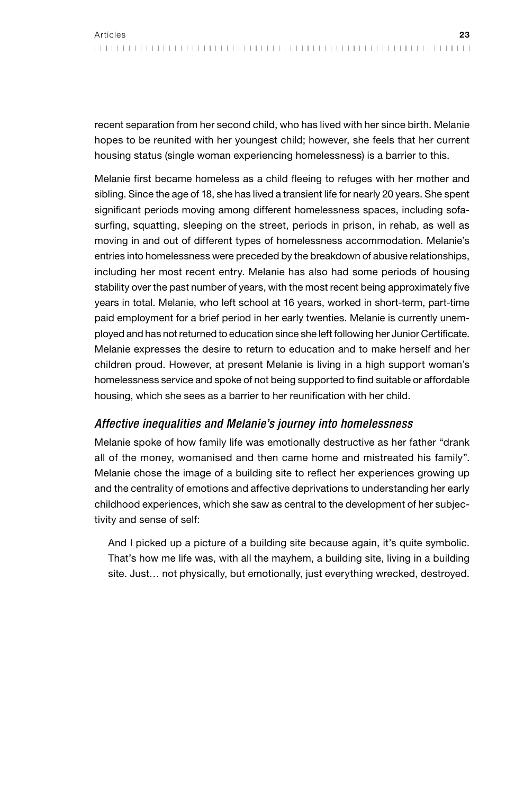recent separation from her second child, who has lived with her since birth. Melanie hopes to be reunited with her youngest child; however, she feels that her current housing status (single woman experiencing homelessness) is a barrier to this.

Melanie first became homeless as a child fleeing to refuges with her mother and sibling. Since the age of 18, she has lived a transient life for nearly 20 years. She spent significant periods moving among different homelessness spaces, including sofasurfing, squatting, sleeping on the street, periods in prison, in rehab, as well as moving in and out of different types of homelessness accommodation. Melanie's entries into homelessness were preceded by the breakdown of abusive relationships, including her most recent entry. Melanie has also had some periods of housing stability over the past number of years, with the most recent being approximately five years in total. Melanie, who left school at 16 years, worked in short-term, part-time paid employment for a brief period in her early twenties. Melanie is currently unemployed and has not returned to education since she left following her Junior Certificate. Melanie expresses the desire to return to education and to make herself and her children proud. However, at present Melanie is living in a high support woman's homelessness service and spoke of not being supported to find suitable or affordable housing, which she sees as a barrier to her reunification with her child.

## *Affective inequalities and Melanie's journey into homelessness*

Melanie spoke of how family life was emotionally destructive as her father "drank all of the money, womanised and then came home and mistreated his family". Melanie chose the image of a building site to reflect her experiences growing up and the centrality of emotions and affective deprivations to understanding her early childhood experiences, which she saw as central to the development of her subjectivity and sense of self:

And I picked up a picture of a building site because again, it's quite symbolic. That's how me life was, with all the mayhem, a building site, living in a building site. Just… not physically, but emotionally, just everything wrecked, destroyed.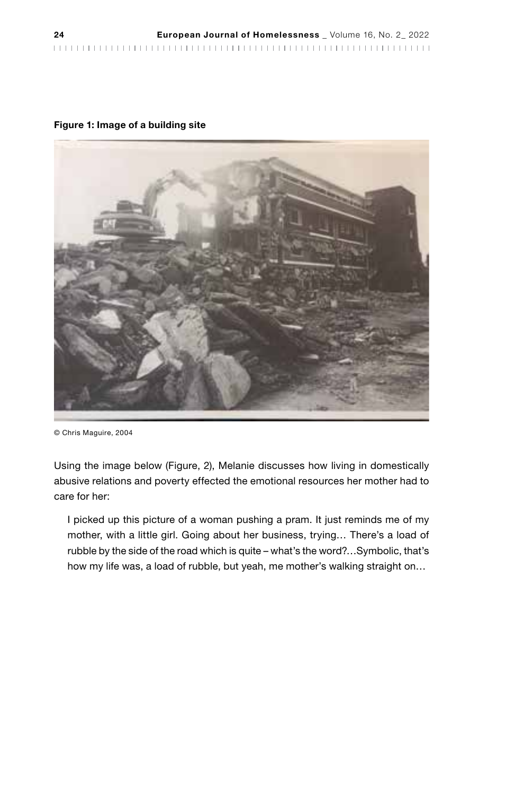#### Figure 1: Image of a building site



<sup>©</sup> Chris Maguire, 2004

Using the image below (Figure, 2), Melanie discusses how living in domestically abusive relations and poverty effected the emotional resources her mother had to care for her:

I picked up this picture of a woman pushing a pram. It just reminds me of my mother, with a little girl. Going about her business, trying… There's a load of rubble by the side of the road which is quite – what's the word?…Symbolic, that's how my life was, a load of rubble, but yeah, me mother's walking straight on…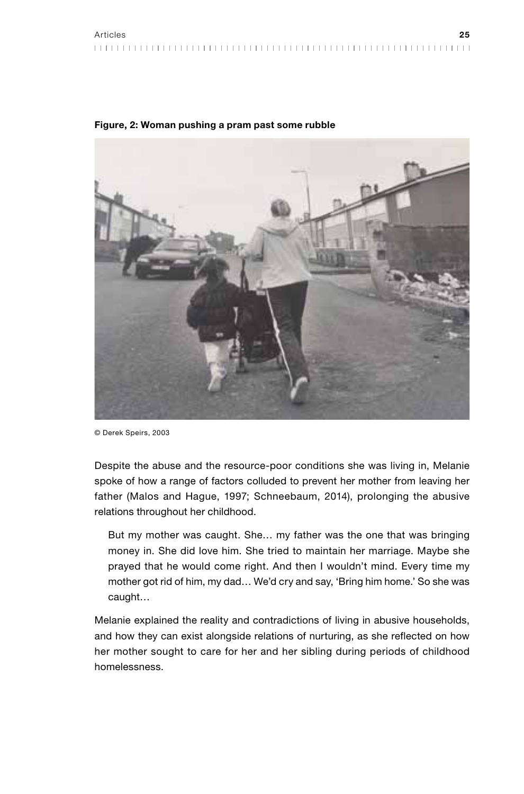

Figure, 2: Woman pushing a pram past some rubble

© Derek Speirs, 2003

Despite the abuse and the resource-poor conditions she was living in, Melanie spoke of how a range of factors colluded to prevent her mother from leaving her father (Malos and Hague, 1997; Schneebaum, 2014), prolonging the abusive relations throughout her childhood.

But my mother was caught. She… my father was the one that was bringing money in. She did love him. She tried to maintain her marriage. Maybe she prayed that he would come right. And then I wouldn't mind. Every time my mother got rid of him, my dad… We'd cry and say, 'Bring him home.' So she was caught…

Melanie explained the reality and contradictions of living in abusive households, and how they can exist alongside relations of nurturing, as she reflected on how her mother sought to care for her and her sibling during periods of childhood homelessness.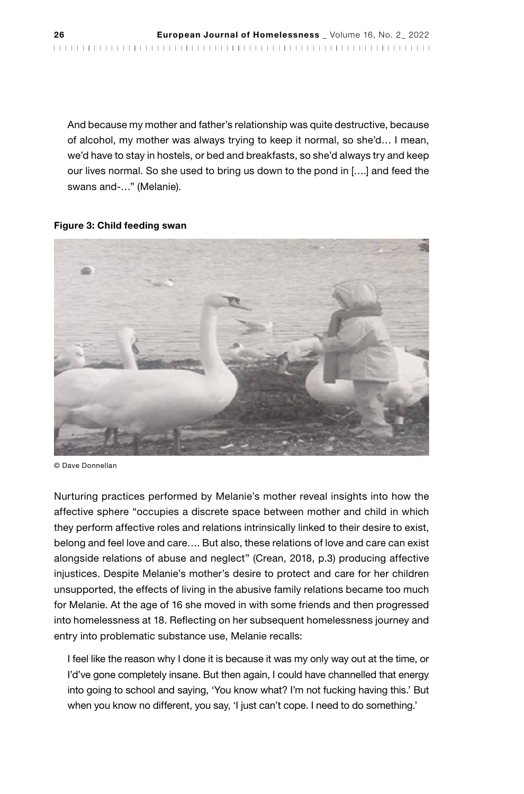And because my mother and father's relationship was quite destructive, because of alcohol, my mother was always trying to keep it normal, so she'd… I mean, we'd have to stay in hostels, or bed and breakfasts, so she'd always try and keep our lives normal. So she used to bring us down to the pond in [….] and feed the swans and-…" (Melanie).

#### Figure 3: Child feeding swan



<sup>©</sup> Dave Donnellan

Nurturing practices performed by Melanie's mother reveal insights into how the affective sphere "occupies a discrete space between mother and child in which they perform affective roles and relations intrinsically linked to their desire to exist, belong and feel love and care…. But also, these relations of love and care can exist alongside relations of abuse and neglect" (Crean, 2018, p.3) producing affective injustices. Despite Melanie's mother's desire to protect and care for her children unsupported, the effects of living in the abusive family relations became too much for Melanie. At the age of 16 she moved in with some friends and then progressed into homelessness at 18. Reflecting on her subsequent homelessness journey and entry into problematic substance use, Melanie recalls:

I feel like the reason why I done it is because it was my only way out at the time, or I'd've gone completely insane. But then again, I could have channelled that energy into going to school and saying, 'You know what? I'm not fucking having this.' But when you know no different, you say, 'I just can't cope. I need to do something.'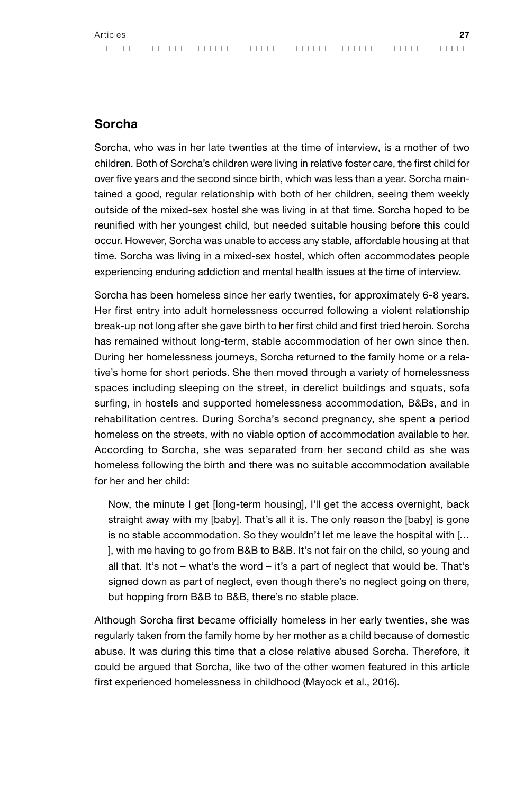Sorcha, who was in her late twenties at the time of interview, is a mother of two children. Both of Sorcha's children were living in relative foster care, the first child for over five years and the second since birth, which was less than a year. Sorcha maintained a good, regular relationship with both of her children, seeing them weekly outside of the mixed-sex hostel she was living in at that time. Sorcha hoped to be reunified with her youngest child, but needed suitable housing before this could occur. However, Sorcha was unable to access any stable, affordable housing at that time. Sorcha was living in a mixed-sex hostel, which often accommodates people experiencing enduring addiction and mental health issues at the time of interview.

Sorcha has been homeless since her early twenties, for approximately 6-8 years. Her first entry into adult homelessness occurred following a violent relationship break-up not long after she gave birth to her first child and first tried heroin. Sorcha has remained without long-term, stable accommodation of her own since then. During her homelessness journeys, Sorcha returned to the family home or a relative's home for short periods. She then moved through a variety of homelessness spaces including sleeping on the street, in derelict buildings and squats, sofa surfing, in hostels and supported homelessness accommodation, B&Bs, and in rehabilitation centres. During Sorcha's second pregnancy, she spent a period homeless on the streets, with no viable option of accommodation available to her. According to Sorcha, she was separated from her second child as she was homeless following the birth and there was no suitable accommodation available for her and her child:

Now, the minute I get [long-term housing], I'll get the access overnight, back straight away with my [baby]. That's all it is. The only reason the [baby] is gone is no stable accommodation. So they wouldn't let me leave the hospital with [… ], with me having to go from B&B to B&B. It's not fair on the child, so young and all that. It's not – what's the word – it's a part of neglect that would be. That's signed down as part of neglect, even though there's no neglect going on there, but hopping from B&B to B&B, there's no stable place.

Although Sorcha first became officially homeless in her early twenties, she was regularly taken from the family home by her mother as a child because of domestic abuse. It was during this time that a close relative abused Sorcha. Therefore, it could be argued that Sorcha, like two of the other women featured in this article first experienced homelessness in childhood (Mayock et al., 2016).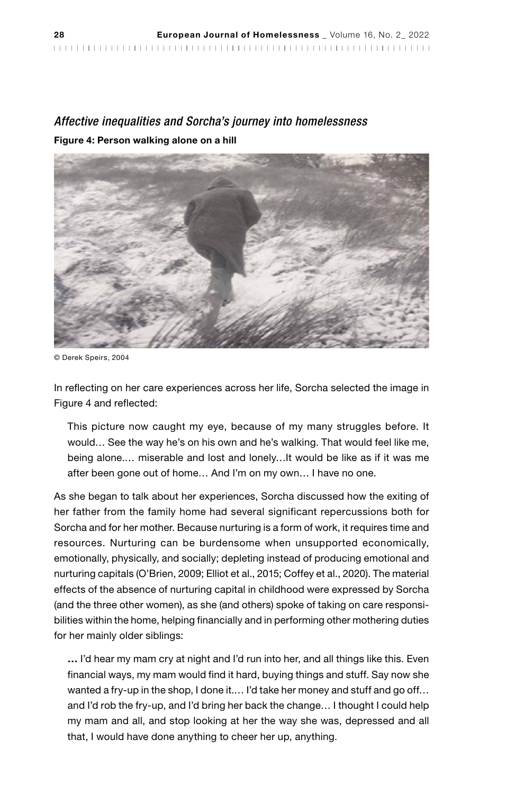## *Affective inequalities and Sorcha's journey into homelessness* Figure 4: Person walking alone on a hill



© Derek Speirs, 2004

In reflecting on her care experiences across her life, Sorcha selected the image in Figure 4 and reflected:

This picture now caught my eye, because of my many struggles before. It would… See the way he's on his own and he's walking. That would feel like me, being alone.… miserable and lost and lonely…It would be like as if it was me after been gone out of home… And I'm on my own… I have no one.

As she began to talk about her experiences, Sorcha discussed how the exiting of her father from the family home had several significant repercussions both for Sorcha and for her mother. Because nurturing is a form of work, it requires time and resources. Nurturing can be burdensome when unsupported economically, emotionally, physically, and socially; depleting instead of producing emotional and nurturing capitals (O'Brien, 2009; Elliot et al., 2015; Coffey et al., 2020). The material effects of the absence of nurturing capital in childhood were expressed by Sorcha (and the three other women), as she (and others) spoke of taking on care responsibilities within the home, helping financially and in performing other mothering duties for her mainly older siblings:

… I'd hear my mam cry at night and I'd run into her, and all things like this. Even financial ways, my mam would find it hard, buying things and stuff. Say now she wanted a fry-up in the shop, I done it.... I'd take her money and stuff and go off... and I'd rob the fry-up, and I'd bring her back the change… I thought I could help my mam and all, and stop looking at her the way she was, depressed and all that, I would have done anything to cheer her up, anything.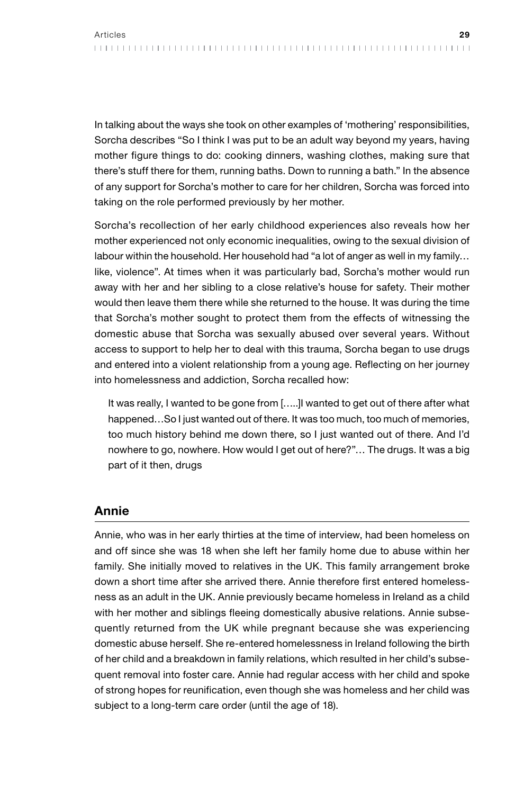In talking about the ways she took on other examples of 'mothering' responsibilities, Sorcha describes "So I think I was put to be an adult way beyond my years, having mother figure things to do: cooking dinners, washing clothes, making sure that there's stuff there for them, running baths. Down to running a bath." In the absence of any support for Sorcha's mother to care for her children, Sorcha was forced into taking on the role performed previously by her mother.

Sorcha's recollection of her early childhood experiences also reveals how her mother experienced not only economic inequalities, owing to the sexual division of labour within the household. Her household had "a lot of anger as well in my family… like, violence". At times when it was particularly bad, Sorcha's mother would run away with her and her sibling to a close relative's house for safety. Their mother would then leave them there while she returned to the house. It was during the time that Sorcha's mother sought to protect them from the effects of witnessing the domestic abuse that Sorcha was sexually abused over several years. Without access to support to help her to deal with this trauma, Sorcha began to use drugs and entered into a violent relationship from a young age. Reflecting on her journey into homelessness and addiction, Sorcha recalled how:

It was really, I wanted to be gone from […..]I wanted to get out of there after what happened…So I just wanted out of there. It was too much, too much of memories, too much history behind me down there, so I just wanted out of there. And I'd nowhere to go, nowhere. How would I get out of here?"… The drugs. It was a big part of it then, drugs

#### Annie

Annie, who was in her early thirties at the time of interview, had been homeless on and off since she was 18 when she left her family home due to abuse within her family. She initially moved to relatives in the UK. This family arrangement broke down a short time after she arrived there. Annie therefore first entered homelessness as an adult in the UK. Annie previously became homeless in Ireland as a child with her mother and siblings fleeing domestically abusive relations. Annie subsequently returned from the UK while pregnant because she was experiencing domestic abuse herself. She re-entered homelessness in Ireland following the birth of her child and a breakdown in family relations, which resulted in her child's subsequent removal into foster care. Annie had regular access with her child and spoke of strong hopes for reunification, even though she was homeless and her child was subject to a long-term care order (until the age of 18).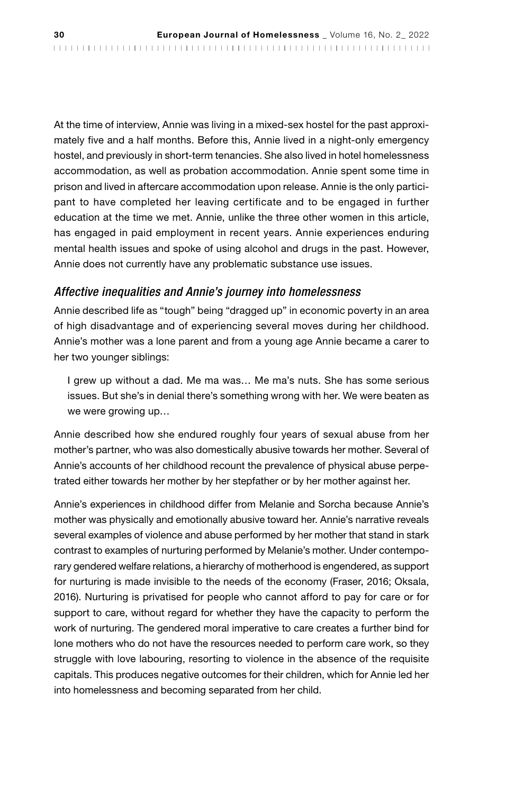At the time of interview, Annie was living in a mixed-sex hostel for the past approximately five and a half months. Before this, Annie lived in a night-only emergency hostel, and previously in short-term tenancies. She also lived in hotel homelessness accommodation, as well as probation accommodation. Annie spent some time in prison and lived in aftercare accommodation upon release. Annie is the only participant to have completed her leaving certificate and to be engaged in further education at the time we met. Annie, unlike the three other women in this article, has engaged in paid employment in recent years. Annie experiences enduring mental health issues and spoke of using alcohol and drugs in the past. However, Annie does not currently have any problematic substance use issues.

#### *Affective inequalities and Annie's journey into homelessness*

Annie described life as "tough" being "dragged up" in economic poverty in an area of high disadvantage and of experiencing several moves during her childhood. Annie's mother was a lone parent and from a young age Annie became a carer to her two younger siblings:

I grew up without a dad. Me ma was… Me ma's nuts. She has some serious issues. But she's in denial there's something wrong with her. We were beaten as we were growing up…

Annie described how she endured roughly four years of sexual abuse from her mother's partner, who was also domestically abusive towards her mother. Several of Annie's accounts of her childhood recount the prevalence of physical abuse perpetrated either towards her mother by her stepfather or by her mother against her.

Annie's experiences in childhood differ from Melanie and Sorcha because Annie's mother was physically and emotionally abusive toward her. Annie's narrative reveals several examples of violence and abuse performed by her mother that stand in stark contrast to examples of nurturing performed by Melanie's mother. Under contemporary gendered welfare relations, a hierarchy of motherhood is engendered, as support for nurturing is made invisible to the needs of the economy (Fraser, 2016; Oksala, 2016). Nurturing is privatised for people who cannot afford to pay for care or for support to care, without regard for whether they have the capacity to perform the work of nurturing. The gendered moral imperative to care creates a further bind for lone mothers who do not have the resources needed to perform care work, so they struggle with love labouring, resorting to violence in the absence of the requisite capitals. This produces negative outcomes for their children, which for Annie led her into homelessness and becoming separated from her child.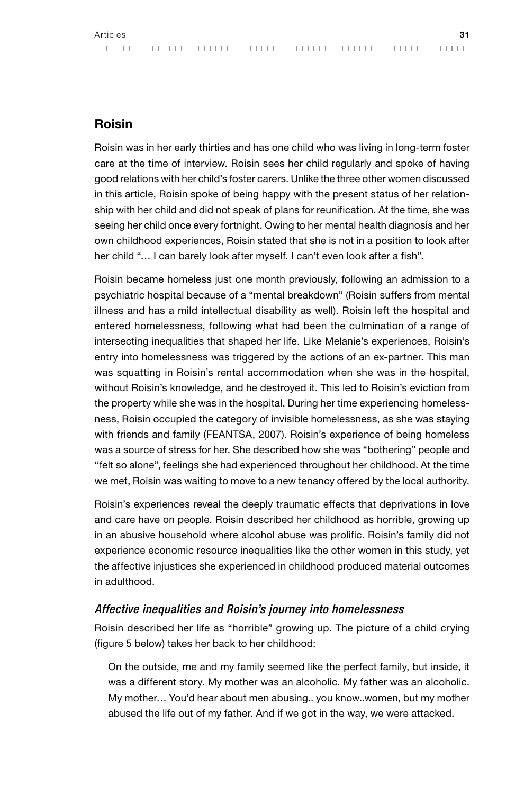## Roisin

Roisin was in her early thirties and has one child who was living in long-term foster care at the time of interview. Roisin sees her child regularly and spoke of having good relations with her child's foster carers. Unlike the three other women discussed in this article, Roisin spoke of being happy with the present status of her relationship with her child and did not speak of plans for reunification. At the time, she was seeing her child once every fortnight. Owing to her mental health diagnosis and her own childhood experiences, Roisin stated that she is not in a position to look after her child "... I can barely look after myself. I can't even look after a fish".

Roisin became homeless just one month previously, following an admission to a psychiatric hospital because of a "mental breakdown" (Roisin suffers from mental illness and has a mild intellectual disability as well). Roisin left the hospital and entered homelessness, following what had been the culmination of a range of intersecting inequalities that shaped her life. Like Melanie's experiences, Roisin's entry into homelessness was triggered by the actions of an ex-partner. This man was squatting in Roisin's rental accommodation when she was in the hospital, without Roisin's knowledge, and he destroyed it. This led to Roisin's eviction from the property while she was in the hospital. During her time experiencing homelessness, Roisin occupied the category of invisible homelessness, as she was staying with friends and family (FEANTSA, 2007). Roisin's experience of being homeless was a source of stress for her. She described how she was "bothering" people and "felt so alone", feelings she had experienced throughout her childhood. At the time we met, Roisin was waiting to move to a new tenancy offered by the local authority.

Roisin's experiences reveal the deeply traumatic effects that deprivations in love and care have on people. Roisin described her childhood as horrible, growing up in an abusive household where alcohol abuse was prolific. Roisin's family did not experience economic resource inequalities like the other women in this study, yet the affective injustices she experienced in childhood produced material outcomes in adulthood.

#### *Affective inequalities and Roisin's journey into homelessness*

Roisin described her life as "horrible" growing up. The picture of a child crying (figure 5 below) takes her back to her childhood:

On the outside, me and my family seemed like the perfect family, but inside, it was a different story. My mother was an alcoholic. My father was an alcoholic. My mother… You'd hear about men abusing.. you know..women, but my mother abused the life out of my father. And if we got in the way, we were attacked.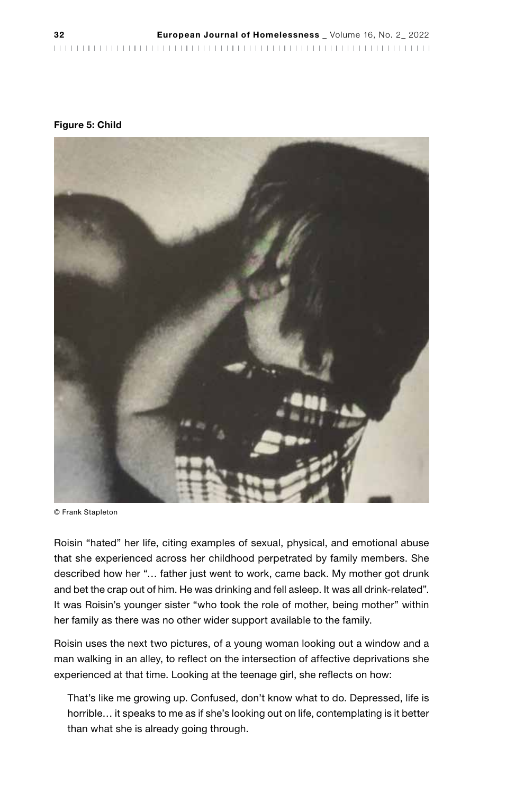| 32 | European Journal of Homelessness _ Volume 16, No. 2_2022 |  |
|----|----------------------------------------------------------|--|
|    |                                                          |  |

#### Figure 5: Child



© Frank Stapleton

Roisin "hated" her life, citing examples of sexual, physical, and emotional abuse that she experienced across her childhood perpetrated by family members. She described how her "… father just went to work, came back. My mother got drunk and bet the crap out of him. He was drinking and fell asleep. It was all drink-related". It was Roisin's younger sister "who took the role of mother, being mother" within her family as there was no other wider support available to the family.

Roisin uses the next two pictures, of a young woman looking out a window and a man walking in an alley, to reflect on the intersection of affective deprivations she experienced at that time. Looking at the teenage girl, she reflects on how:

That's like me growing up. Confused, don't know what to do. Depressed, life is horrible… it speaks to me as if she's looking out on life, contemplating is it better than what she is already going through.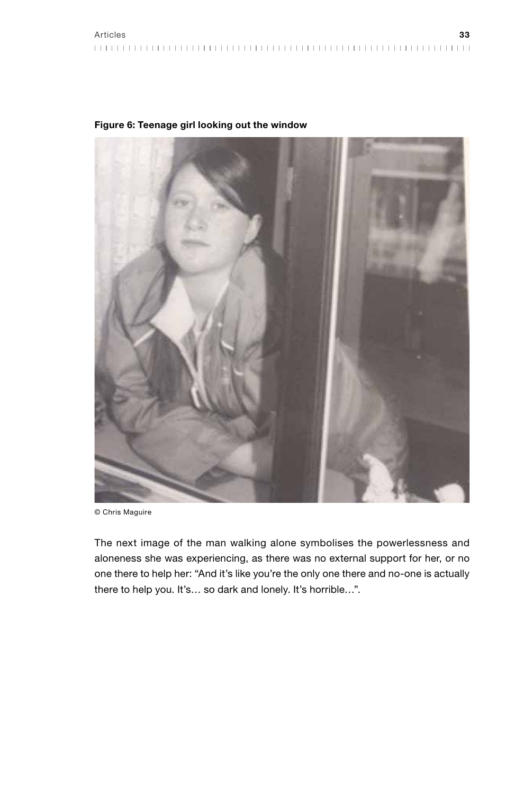

#### Figure 6: Teenage girl looking out the window

© Chris Maguire

The next image of the man walking alone symbolises the powerlessness and aloneness she was experiencing, as there was no external support for her, or no one there to help her: "And it's like you're the only one there and no-one is actually there to help you. It's… so dark and lonely. It's horrible…".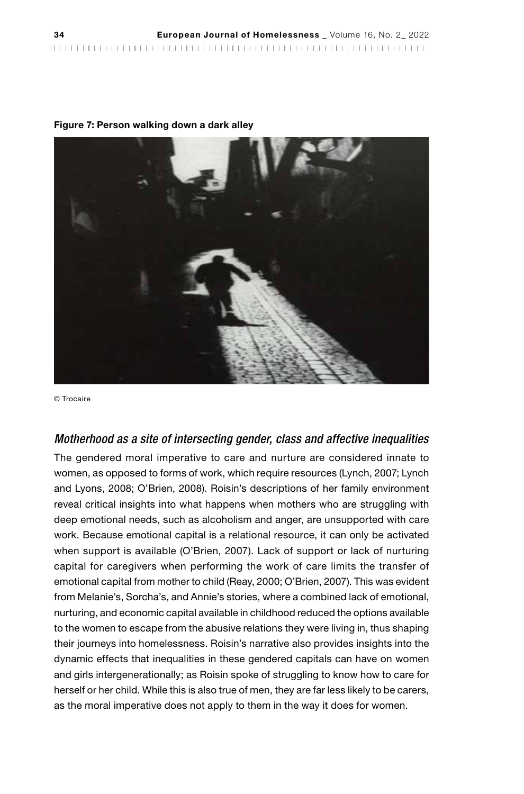| 34 | European Journal of Homelessness _ Volume 16, No. 2_2022 |  |
|----|----------------------------------------------------------|--|
|    |                                                          |  |

#### Figure 7: Person walking down a dark alley



© Trocaire

#### *Motherhood as a site of intersecting gender, class and affective inequalities*

The gendered moral imperative to care and nurture are considered innate to women, as opposed to forms of work, which require resources (Lynch, 2007; Lynch and Lyons, 2008; O'Brien, 2008). Roisin's descriptions of her family environment reveal critical insights into what happens when mothers who are struggling with deep emotional needs, such as alcoholism and anger, are unsupported with care work. Because emotional capital is a relational resource, it can only be activated when support is available (O'Brien, 2007). Lack of support or lack of nurturing capital for caregivers when performing the work of care limits the transfer of emotional capital from mother to child (Reay, 2000; O'Brien, 2007). This was evident from Melanie's, Sorcha's, and Annie's stories, where a combined lack of emotional, nurturing, and economic capital available in childhood reduced the options available to the women to escape from the abusive relations they were living in, thus shaping their journeys into homelessness. Roisin's narrative also provides insights into the dynamic effects that inequalities in these gendered capitals can have on women and girls intergenerationally; as Roisin spoke of struggling to know how to care for herself or her child. While this is also true of men, they are far less likely to be carers, as the moral imperative does not apply to them in the way it does for women.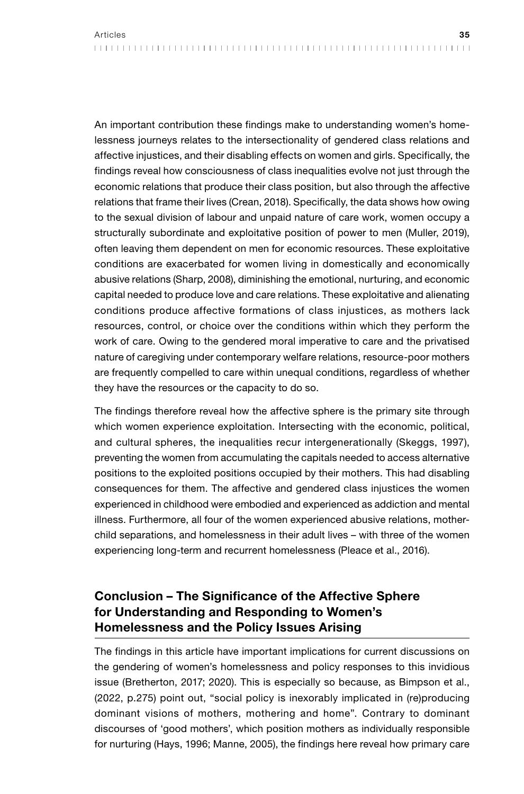An important contribution these findings make to understanding women's homelessness journeys relates to the intersectionality of gendered class relations and affective injustices, and their disabling effects on women and girls. Specifically, the findings reveal how consciousness of class inequalities evolve not just through the economic relations that produce their class position, but also through the affective relations that frame their lives (Crean, 2018). Specifically, the data shows how owing to the sexual division of labour and unpaid nature of care work, women occupy a structurally subordinate and exploitative position of power to men (Muller, 2019), often leaving them dependent on men for economic resources. These exploitative conditions are exacerbated for women living in domestically and economically abusive relations (Sharp, 2008), diminishing the emotional, nurturing, and economic capital needed to produce love and care relations. These exploitative and alienating conditions produce affective formations of class injustices, as mothers lack resources, control, or choice over the conditions within which they perform the work of care. Owing to the gendered moral imperative to care and the privatised nature of caregiving under contemporary welfare relations, resource-poor mothers are frequently compelled to care within unequal conditions, regardless of whether they have the resources or the capacity to do so.

The findings therefore reveal how the affective sphere is the primary site through which women experience exploitation. Intersecting with the economic, political, and cultural spheres, the inequalities recur intergenerationally (Skeggs, 1997), preventing the women from accumulating the capitals needed to access alternative positions to the exploited positions occupied by their mothers. This had disabling consequences for them. The affective and gendered class injustices the women experienced in childhood were embodied and experienced as addiction and mental illness. Furthermore, all four of the women experienced abusive relations, motherchild separations, and homelessness in their adult lives – with three of the women experiencing long-term and recurrent homelessness (Pleace et al., 2016).

# Conclusion – The Significance of the Affective Sphere for Understanding and Responding to Women's Homelessness and the Policy Issues Arising

The findings in this article have important implications for current discussions on the gendering of women's homelessness and policy responses to this invidious issue (Bretherton, 2017; 2020). This is especially so because, as Bimpson et al., (2022, p.275) point out, "social policy is inexorably implicated in (re)producing dominant visions of mothers, mothering and home". Contrary to dominant discourses of 'good mothers', which position mothers as individually responsible for nurturing (Hays, 1996; Manne, 2005), the findings here reveal how primary care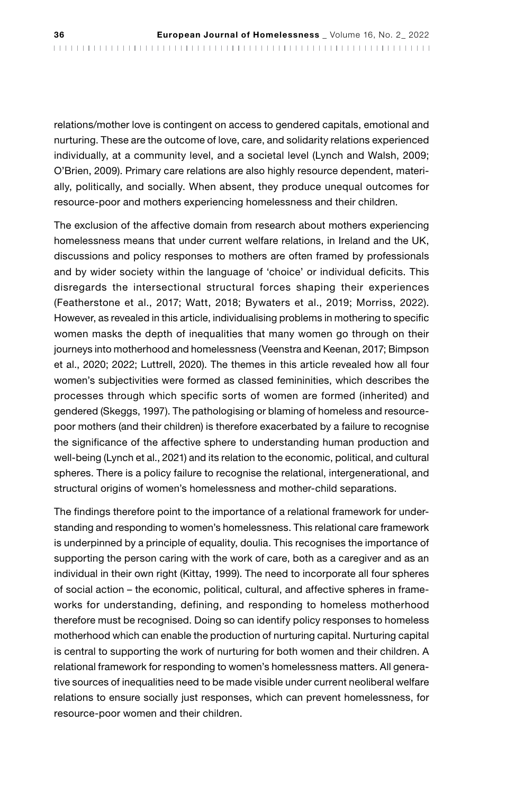relations/mother love is contingent on access to gendered capitals, emotional and nurturing. These are the outcome of love, care, and solidarity relations experienced individually, at a community level, and a societal level (Lynch and Walsh, 2009; O'Brien, 2009). Primary care relations are also highly resource dependent, materially, politically, and socially. When absent, they produce unequal outcomes for resource-poor and mothers experiencing homelessness and their children.

The exclusion of the affective domain from research about mothers experiencing homelessness means that under current welfare relations, in Ireland and the UK, discussions and policy responses to mothers are often framed by professionals and by wider society within the language of 'choice' or individual deficits. This disregards the intersectional structural forces shaping their experiences (Featherstone et al., 2017; Watt, 2018; Bywaters et al., 2019; Morriss, 2022). However, as revealed in this article, individualising problems in mothering to specific women masks the depth of inequalities that many women go through on their journeys into motherhood and homelessness (Veenstra and Keenan, 2017; Bimpson et al., 2020; 2022; Luttrell, 2020). The themes in this article revealed how all four women's subjectivities were formed as classed femininities, which describes the processes through which specific sorts of women are formed (inherited) and gendered (Skeggs, 1997). The pathologising or blaming of homeless and resourcepoor mothers (and their children) is therefore exacerbated by a failure to recognise the significance of the affective sphere to understanding human production and well-being (Lynch et al., 2021) and its relation to the economic, political, and cultural spheres. There is a policy failure to recognise the relational, intergenerational, and structural origins of women's homelessness and mother-child separations.

The findings therefore point to the importance of a relational framework for understanding and responding to women's homelessness. This relational care framework is underpinned by a principle of equality, doulia. This recognises the importance of supporting the person caring with the work of care, both as a caregiver and as an individual in their own right (Kittay, 1999). The need to incorporate all four spheres of social action – the economic, political, cultural, and affective spheres in frameworks for understanding, defining, and responding to homeless motherhood therefore must be recognised. Doing so can identify policy responses to homeless motherhood which can enable the production of nurturing capital. Nurturing capital is central to supporting the work of nurturing for both women and their children. A relational framework for responding to women's homelessness matters. All generative sources of inequalities need to be made visible under current neoliberal welfare relations to ensure socially just responses, which can prevent homelessness, for resource-poor women and their children.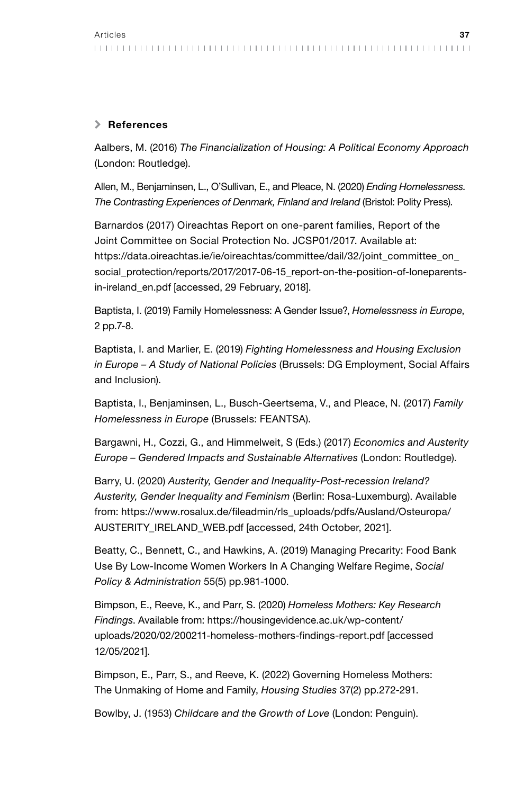#### \ References

Aalbers, M. (2016) *The Financialization of Housing: A Political Economy Approach* (London: Routledge).

Allen, M., Benjaminsen, L., O'Sullivan, E., and Pleace, N. (2020) *Ending Homelessness. The Contrasting Experiences of Denmark, Finland and Ireland* (Bristol: Polity Press).

Barnardos (2017) Oireachtas Report on one-parent families, Report of the Joint Committee on Social Protection No. JCSP01/2017. Available at: https://data.oireachtas.ie/ie/oireachtas/committee/dail/32/joint\_committee\_on\_ social\_protection/reports/2017/2017-06-15\_report-on-the-position-of-loneparentsin-ireland\_en.pdf [accessed, 29 February, 2018].

Baptista, I. (2019) Family Homelessness: A Gender Issue?, *Homelessness in Europe*, 2 pp.7-8.

Baptista, I. and Marlier, E. (2019) *Fighting Homelessness and Housing Exclusion in Europe – A Study of National Policies* (Brussels: DG Employment, Social Affairs and Inclusion).

Baptista, I., Benjaminsen, L., Busch-Geertsema, V., and Pleace, N. (2017) *Family Homelessness in Europe* (Brussels: FEANTSA).

Bargawni, H., Cozzi, G., and Himmelweit, S (Eds.) (2017) *Economics and Austerity Europe – Gendered Impacts and Sustainable Alternatives* (London: Routledge).

Barry, U. (2020) *Austerity, Gender and Inequality-Post-recession Ireland? Austerity, Gender Inequality and Feminism* (Berlin: Rosa-Luxemburg). Available from: [https://www.rosalux.de/fileadmin/rls\\_uploads/pdfs/Ausland/Osteuropa/](https://www.rosalux.de/fileadmin/rls_uploads/pdfs/Ausland/Osteuropa/AUSTERITY_IRELAND_WEB.pdf) [AUSTERITY\\_IRELAND\\_WEB.pdf](https://www.rosalux.de/fileadmin/rls_uploads/pdfs/Ausland/Osteuropa/AUSTERITY_IRELAND_WEB.pdf) [accessed, 24th October, 2021].

Beatty, C., Bennett, C., and Hawkins, A. (2019) Managing Precarity: Food Bank Use By Low-Income Women Workers In A Changing Welfare Regime, *Social Policy & Administration* 55(5) pp.981-1000.

Bimpson, E., Reeve, K., and Parr, S. (2020) *Homeless Mothers: Key Research Findings*. Available from: [https://housingevidence.ac.uk/wp-content/](https://housingevidence.ac.uk/wp-content/uploads/2020/02/200211-homeless-mothers-findings-report.pdf) [uploads/2020/02/200211-homeless-mothers-findings-report.pdf](https://housingevidence.ac.uk/wp-content/uploads/2020/02/200211-homeless-mothers-findings-report.pdf) [accessed 12/05/2021].

Bimpson, E., Parr, S., and Reeve, K. (2022) Governing Homeless Mothers: The Unmaking of Home and Family, *Housing Studies* 37(2) pp.272-291.

Bowlby, J. (1953) *Childcare and the Growth of Love* (London: Penguin).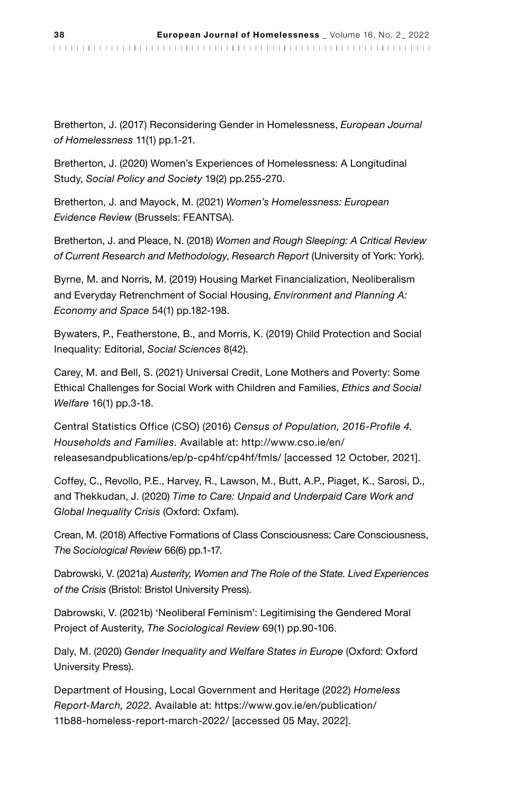Bretherton, J. (2017) Reconsidering Gender in Homelessness, *European Journal of Homelessness* 11(1) pp.1-21.

Bretherton, J. (2020) Women's Experiences of Homelessness: A Longitudinal Study, *Social Policy and Society* 19(2) pp.255-270.

Bretherton, J. and Mayock, M. (2021) *Women's Homelessness: European Evidence Review* (Brussels: FEANTSA).

Bretherton, J. and Pleace, N. (2018) *Women and Rough Sleeping: A Critical Review of Current Research and Methodology*, *Research Report* (University of York: York).

Byrne, M. and Norris, M. (2019) Housing Market Financialization, Neoliberalism and Everyday Retrenchment of Social Housing, *Environment and Planning A: Economy and Space* 54(1) pp.182-198.

Bywaters, P., Featherstone, B., and Morris, K. (2019) Child Protection and Social Inequality: Editorial, *Social Sciences* 8(42).

Carey, M. and Bell, S. (2021) Universal Credit, Lone Mothers and Poverty: Some Ethical Challenges for Social Work with Children and Families, *Ethics and Social Welfare* 16(1) pp.3-18.

Central Statistics Office (CSO) (2016) *Census of Population, 2016-Profile 4. Households and Families.* Available at: http://www.cso.ie/en/ releasesandpublications/ep/p-cp4hf/cp4hf/fmls/ [accessed 12 October, 2021].

Coffey, C., Revollo, P.E., Harvey, R., Lawson, M., Butt, A.P., Piaget, K., Sarosi, D., and Thekkudan, J. (2020) *Time to Care: Unpaid and Underpaid Care Work and Global Inequality Crisis* (Oxford: Oxfam).

Crean, M. (2018) Affective Formations of Class Consciousness: Care Consciousness, *The Sociological Review* 66(6) pp.1-17.

Dabrowski, V. (2021a) *Austerity, Women and The Role of the State. Lived Experiences of the Crisis* (Bristol: Bristol University Press).

Dabrowski, V. (2021b) 'Neoliberal Feminism': Legitimising the Gendered Moral Project of Austerity, *The Sociological Review* 69(1) pp.90-106.

Daly, M. (2020) *Gender Inequality and Welfare States in Europe* (Oxford: Oxford University Press).

Department of Housing, Local Government and Heritage (2022) *Homeless Report-March, 2022.* Available at: [https://www.gov.ie/en/publication/](https://www.gov.ie/en/publication/11b88-homeless-report-march-2022/) [11b88-homeless-report-march-2022/](https://www.gov.ie/en/publication/11b88-homeless-report-march-2022/) [accessed 05 May, 2022].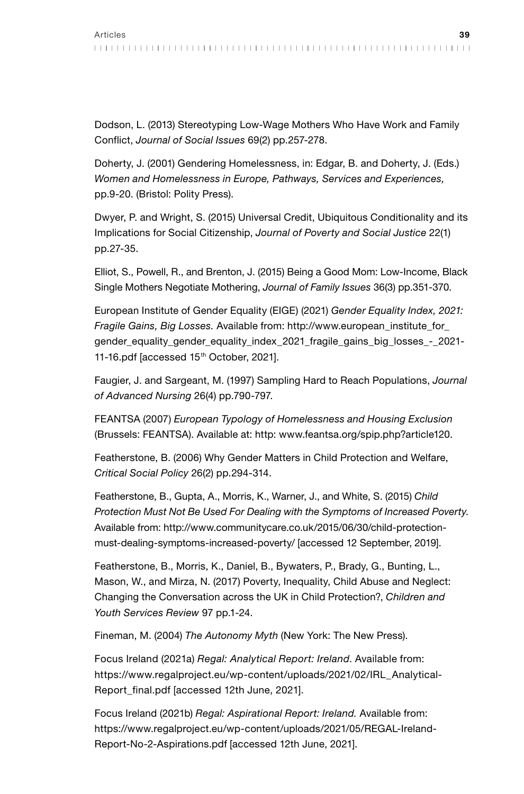Dodson, L. (2013) Stereotyping Low-Wage Mothers Who Have Work and Family Conflict, *Journal of Social Issues* 69(2) pp.257-278.

Doherty, J. (2001) Gendering Homelessness, in: Edgar, B. and Doherty, J. (Eds.) *Women and Homelessness in Europe, Pathways, Services and Experiences,* pp.9-20. (Bristol: Polity Press).

Dwyer, P. and Wright, S. (2015) Universal Credit, Ubiquitous Conditionality and its Implications for Social Citizenship, *Journal of Poverty and Social Justice* 22(1) pp.27-35.

Elliot, S., Powell, R., and Brenton, J. (2015) Being a Good Mom: Low-Income, Black Single Mothers Negotiate Mothering, *Journal of Family Issues* 36(3) pp.351-370.

European Institute of Gender Equality (EIGE) (2021) *Gender Equality Index, 2021: Fragile Gains, Big Losses.* Available from: [http://www.european\\_institute\\_for\\_](http://www.european_institute_for_gender_equality_gender_equality_index_2021_fragile_gains_big_losses_-_2021-11-16.pdf/) [gender\\_equality\\_gender\\_equality\\_index\\_2021\\_fragile\\_gains\\_big\\_losses\\_-\\_2021-](http://www.european_institute_for_gender_equality_gender_equality_index_2021_fragile_gains_big_losses_-_2021-11-16.pdf/) [11-16.pdf](http://www.european_institute_for_gender_equality_gender_equality_index_2021_fragile_gains_big_losses_-_2021-11-16.pdf/) [accessed 15<sup>th</sup> October, 2021].

Faugier, J. and Sargeant, M. (1997) Sampling Hard to Reach Populations, *Journal of Advanced Nursing* 26(4) pp.790-797.

FEANTSA (2007) *European Typology of Homelessness and Housing Exclusion* (Brussels: FEANTSA). Available at: http: www.feantsa.org/spip.php?article120.

Featherstone, B. (2006) Why Gender Matters in Child Protection and Welfare, *Critical Social Policy* 26(2) pp.294-314.

Featherstone, B., Gupta, A., Morris, K., Warner, J., and White, S. (2015) *Child Protection Must Not Be Used For Dealing with the Symptoms of Increased Poverty*. Available from: [http://www.communitycare.co.uk/2015/06/30/child-protection](http://www.communitycare.co.uk/2015/06/30/child-protection-must-dealing-symptoms-increased-poverty/)[must-dealing-symptoms-increased-poverty/](http://www.communitycare.co.uk/2015/06/30/child-protection-must-dealing-symptoms-increased-poverty/) [accessed 12 September, 2019].

Featherstone, B., Morris, K., Daniel, B., Bywaters, P., Brady, G., Bunting, L., Mason, W., and Mirza, N. (2017) Poverty, Inequality, Child Abuse and Neglect: Changing the Conversation across the UK in Child Protection?, *Children and Youth Services Review* 97 pp.1-24.

Fineman, M. (2004) *The Autonomy Myth* (New York: The New Press).

Focus Ireland (2021a) *Regal: Analytical Report: Ireland*. Available from: [https://www.regalproject.eu/wp-content/uploads/2021/02/IRL\\_Analytical-](https://www.regalproject.eu/wp-content/uploads/2021/02/IRL_Analytical-Report_final.pdf)[Report\\_final.pdf](https://www.regalproject.eu/wp-content/uploads/2021/02/IRL_Analytical-Report_final.pdf) [accessed 12th June, 2021].

Focus Ireland (2021b) *Regal: Aspirational Report: Ireland.* Available from: [https://www.regalproject.eu/wp-content/uploads/2021/05/REGAL-Ireland-](https://www.regalproject.eu/wp-content/uploads/2021/05/REGAL-Ireland-Report-No-2-Aspirations.pdf)[Report-No-2-Aspirations.pdf](https://www.regalproject.eu/wp-content/uploads/2021/05/REGAL-Ireland-Report-No-2-Aspirations.pdf) [accessed 12th June, 2021].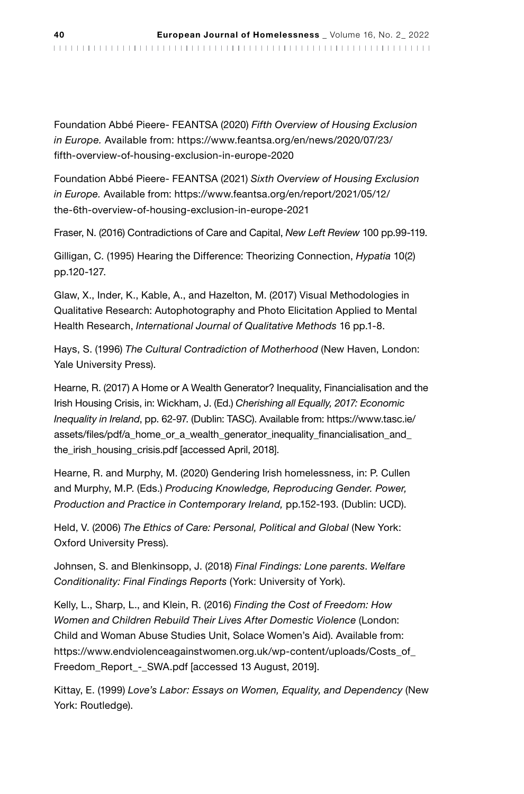Foundation Abbé Pieere- FEANTSA (2020) *Fifth Overview of Housing Exclusion in Europe.* Available from: [https://www.feantsa.org/en/news/2020/07/23/](https://www.feantsa.org/en/news/2020/07/23/fifth-overview-of-housing-exclusion-in-europe-2020) [fifth-overview-of-housing-exclusion-in-europe-2020](https://www.feantsa.org/en/news/2020/07/23/fifth-overview-of-housing-exclusion-in-europe-2020)

Foundation Abbé Pieere- FEANTSA (2021) *Sixth Overview of Housing Exclusion in Europe.* Available from: [https://www.feantsa.org/en/report/2021/05/12/](https://www.feantsa.org/en/report/2021/05/12/the-6th-overview-of-housing-exclusion-in-europe-2021) [the-6th-overview-of-housing-exclusion-in-europe-2021](https://www.feantsa.org/en/report/2021/05/12/the-6th-overview-of-housing-exclusion-in-europe-2021) 

Fraser, N. (2016) Contradictions of Care and Capital, *New Left Review* 100 pp.99-119.

Gilligan, C. (1995) Hearing the Difference: Theorizing Connection, *Hypatia* 10(2) pp.120-127.

Glaw, X., Inder, K., Kable, A., and Hazelton, M. (2017) Visual Methodologies in Qualitative Research: Autophotography and Photo Elicitation Applied to Mental Health Research, *International Journal of Qualitative Methods* 16 pp.1-8.

Hays, S. (1996) *The Cultural Contradiction of Motherhood* (New Haven, London: Yale University Press).

Hearne, R. (2017) A Home or A Wealth Generator? Inequality, Financialisation and the Irish Housing Crisis, in: Wickham, J. (Ed.) *Cherishing all Equally, 2017: Economic Inequality in Ireland*, pp. 62-97. (Dublin: TASC). Available from: [https://www.tasc.ie/](https://www.tasc.ie/assets/files/pdf/a_home_or_a_wealth_generator_inequality_financialisation_and_the_irish_housing_crisis.pdf) assets/files/pdf/a\_home\_or\_a\_wealth\_generator\_inequality\_financialisation\_and [the\\_irish\\_housing\\_crisis.pdf \[accessed](https://www.tasc.ie/assets/files/pdf/a_home_or_a_wealth_generator_inequality_financialisation_and_the_irish_housing_crisis.pdf) April, 2018].

Hearne, R. and Murphy, M. (2020) Gendering Irish homelessness, in: P. Cullen and Murphy, M.P. (Eds.) *Producing Knowledge, Reproducing Gender. Power, Production and Practice in Contemporary Ireland,* pp.152-193. (Dublin: UCD).

Held, V. (2006) *The Ethics of Care: Personal, Political and Global* (New York: Oxford University Press).

Johnsen, S. and Blenkinsopp, J. (2018) *Final Findings: Lone parents*. *Welfare Conditionality: Final Findings Reports* (York: University of York).

Kelly, L., Sharp, L., and Klein, R. (2016) *Finding the Cost of Freedom: How Women and Children Rebuild Their Lives After Domestic Violence* (London: Child and Woman Abuse Studies Unit, Solace Women's Aid). Available from: [https://www.endviolenceagainstwomen.org.uk/wp-content/uploads/Costs\\_of\\_](https://www.endviolenceagainstwomen.org.uk/wp-content/uploads/Costs_of_Freedom_Report_-_SWA.pdf) [Freedom\\_Report\\_-\\_SWA.pdf](https://www.endviolenceagainstwomen.org.uk/wp-content/uploads/Costs_of_Freedom_Report_-_SWA.pdf) [accessed 13 August, 2019].

Kittay, E. (1999) *Love's Labor: Essays on Women, Equality, and Dependency* (New York: Routledge).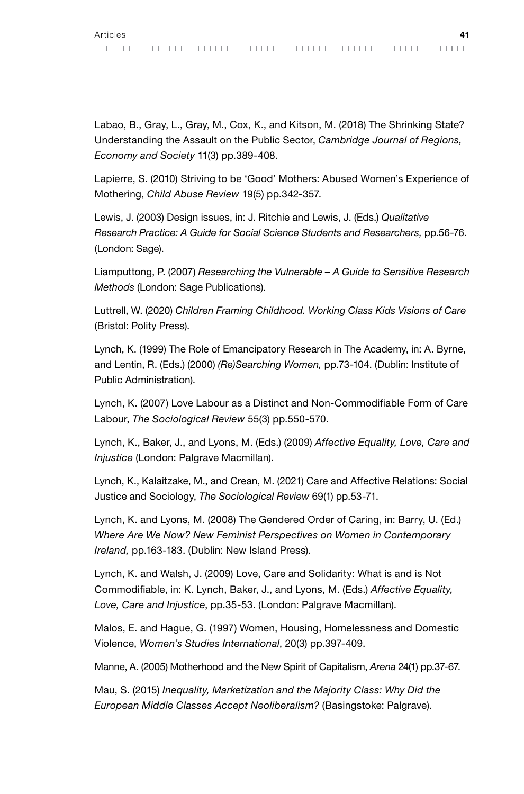Labao, B., Gray, L., Gray, M., Cox, K., and Kitson, M. (2018) The Shrinking State? Understanding the Assault on the Public Sector, *Cambridge Journal of Regions, Economy and Society* 11(3) pp.389-408.

Lapierre, S. (2010) Striving to be 'Good' Mothers: Abused Women's Experience of Mothering, *Child Abuse Review* 19(5) pp.342-357.

Lewis, J. (2003) Design issues, in: J. Ritchie and Lewis, J. (Eds.) *Qualitative Research Practice: A Guide for Social Science Students and Researchers,* pp.56-76. (London: Sage).

Liamputtong, P. (2007) *Researching the Vulnerable – A Guide to Sensitive Research Methods* (London: Sage Publications).

Luttrell, W. (2020) *Children Framing Childhood. Working Class Kids Visions of Care* (Bristol: Polity Press).

Lynch, K. (1999) The Role of Emancipatory Research in The Academy, in: A. Byrne, and Lentin, R. (Eds.) (2000) *(Re)Searching Women,* pp.73-104. (Dublin: Institute of Public Administration).

Lynch, K. (2007) Love Labour as a Distinct and Non-Commodifiable Form of Care Labour, *The Sociological Review* 55(3) pp.550-570.

Lynch, K., Baker, J., and Lyons, M. (Eds.) (2009) *Affective Equality, Love, Care and Injustice* (London: Palgrave Macmillan).

Lynch, K., Kalaitzake, M., and Crean, M. (2021) Care and Affective Relations: Social Justice and Sociology, *The Sociological Review* 69(1) pp.53-71.

Lynch, K. and Lyons, M. (2008) The Gendered Order of Caring, in: Barry, U. (Ed.) *Where Are We Now? New Feminist Perspectives on Women in Contemporary Ireland,* pp.163-183. (Dublin: New Island Press).

Lynch, K. and Walsh, J. (2009) Love, Care and Solidarity: What is and is Not Commodifiable, in: K. Lynch, Baker, J., and Lyons, M. (Eds.) *Affective Equality, Love, Care and Injustice*, pp.35-53. (London: Palgrave Macmillan).

Malos, E. and Hague, G. (1997) Women, Housing, Homelessness and Domestic Violence, *Women's Studies International*, 20(3) pp.397-409.

Manne, A. (2005) Motherhood and the New Spirit of Capitalism, *Arena* 24(1) pp.37-67.

Mau, S. (2015) *Inequality, Marketization and the Majority Class: Why Did the European Middle Classes Accept Neoliberalism?* (Basingstoke: Palgrave).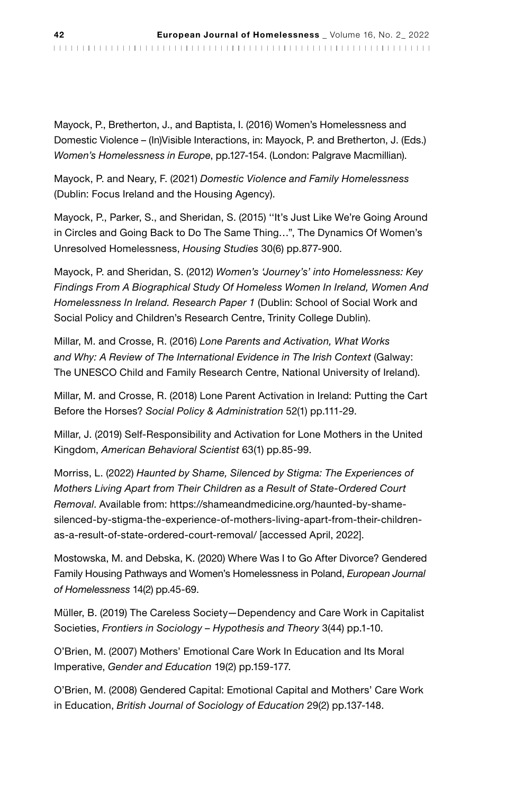Mayock, P., Bretherton, J., and Baptista, I. (2016) Women's Homelessness and Domestic Violence – (In)Visible Interactions, in: Mayock, P. and Bretherton, J. (Eds.) *Women's Homelessness in Europe*, pp.127-154. (London: Palgrave Macmillian).

Mayock, P. and Neary, F. (2021) *Domestic Violence and Family Homelessness* (Dublin: Focus Ireland and the Housing Agency).

Mayock, P., Parker, S., and Sheridan, S. (2015) ''It's Just Like We're Going Around in Circles and Going Back to Do The Same Thing…", The Dynamics Of Women's Unresolved Homelessness, *Housing Studies* 30(6) pp.877-900.

Mayock, P. and Sheridan, S. (2012) *Women's 'Journey's' into Homelessness: Key Findings From A Biographical Study Of Homeless Women In Ireland, Women And Homelessness In Ireland. Research Paper 1* (Dublin: School of Social Work and Social Policy and Children's Research Centre, Trinity College Dublin).

Millar, M. and Crosse, R. (2016) *Lone Parents and Activation, What Works and Why: A Review of The International Evidence in The Irish Context* (Galway: The UNESCO Child and Family Research Centre, National University of Ireland).

Millar, M. and Crosse, R. (2018) Lone Parent Activation in Ireland: Putting the Cart Before the Horses? *Social Policy & Administration* 52(1) pp.111-29.

Millar, J. (2019) Self-Responsibility and Activation for Lone Mothers in the United Kingdom, *American Behavioral Scientist* 63(1) pp.85-99.

Morriss, L. (2022) *Haunted by Shame, Silenced by Stigma: The Experiences of Mothers Living Apart from Their Children as a Result of State-Ordered Court Removal*. Available from: https://shameandmedicine.org/haunted-by-shamesilenced-by-stigma-the-experience-of-mothers-living-apart-from-their-childrenas-a-result-of-state-ordered-court-removal/ [accessed April, 2022].

Mostowska, M. and Debska, K. (2020) Where Was I to Go After Divorce? Gendered Family Housing Pathways and Women's Homelessness in Poland, *European Journal of Homelessness* 14(2) pp.45-69.

Müller, B. (2019) The Careless Society—Dependency and Care Work in Capitalist Societies, *Frontiers in Sociology – Hypothesis and Theory* 3(44) pp.1-10.

O'Brien, M. (2007) Mothers' Emotional Care Work In Education and Its Moral Imperative, *Gender and Education* 19(2) pp.159-177.

O'Brien, M. (2008) Gendered Capital: Emotional Capital and Mothers' Care Work in Education, *British Journal of Sociology of Education* 29(2) pp.137-148.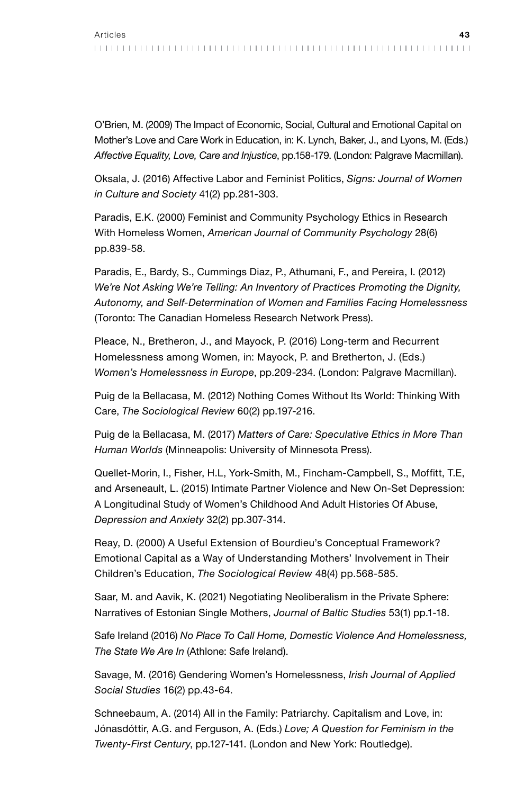O'Brien, M. (2009) The Impact of Economic, Social, Cultural and Emotional Capital on Mother's Love and Care Work in Education, in: K. Lynch, Baker, J., and Lyons, M. (Eds.) *Affective Equality, Love, Care and Injustice*, pp.158-179. (London: Palgrave Macmillan).

Oksala, J. (2016) Affective Labor and Feminist Politics, *Signs: Journal of Women in Culture and Society* 41(2) pp.281-303.

Paradis, E.K. (2000) Feminist and Community Psychology Ethics in Research With Homeless Women, *American Journal of Community Psychology* 28(6) pp.839-58.

Paradis, E., Bardy, S., Cummings Diaz, P., Athumani, F., and Pereira, I. (2012) *We're Not Asking We're Telling: An Inventory of Practices Promoting the Dignity, Autonomy, and Self-Determination of Women and Families Facing Homelessness* (Toronto: The Canadian Homeless Research Network Press).

Pleace, N., Bretheron, J., and Mayock, P. (2016) Long-term and Recurrent Homelessness among Women, in: Mayock, P. and Bretherton, J. (Eds.) *Women's Homelessness in Europe*, pp.209-234. (London: Palgrave Macmillan).

Puig de la Bellacasa, M. (2012) Nothing Comes Without Its World: Thinking With Care, *The Sociological Review* 60(2) pp.197-216.

Puig de la Bellacasa, M. (2017) *Matters of Care: Speculative Ethics in More Than Human Worlds* (Minneapolis: University of Minnesota Press).

Quellet-Morin, I., Fisher, H.L, York-Smith, M., Fincham-Campbell, S., Moffitt, T.E, and Arseneault, L. (2015) Intimate Partner Violence and New On-Set Depression: A Longitudinal Study of Women's Childhood And Adult Histories Of Abuse, *Depression and Anxiety* 32(2) pp.307-314.

Reay, D. (2000) A Useful Extension of Bourdieu's Conceptual Framework? Emotional Capital as a Way of Understanding Mothers' Involvement in Their Children's Education, *The Sociological Review* 48(4) pp.568-585.

Saar, M. and Aavik, K. (2021) Negotiating Neoliberalism in the Private Sphere: Narratives of Estonian Single Mothers, *Journal of Baltic Studies* 53(1) pp.1-18.

Safe Ireland (2016) *No Place To Call Home, Domestic Violence And Homelessness, The State We Are In* (Athlone: Safe Ireland).

Savage, M. (2016) Gendering Women's Homelessness, *Irish Journal of Applied Social Studies* 16(2) pp.43-64.

Schneebaum, A. (2014) All in the Family: Patriarchy. Capitalism and Love, in: Jónasdóttir, A.G. and Ferguson, A. (Eds.) *Love; A Question for Feminism in the Twenty-First Century*, pp.127-141. (London and New York: Routledge).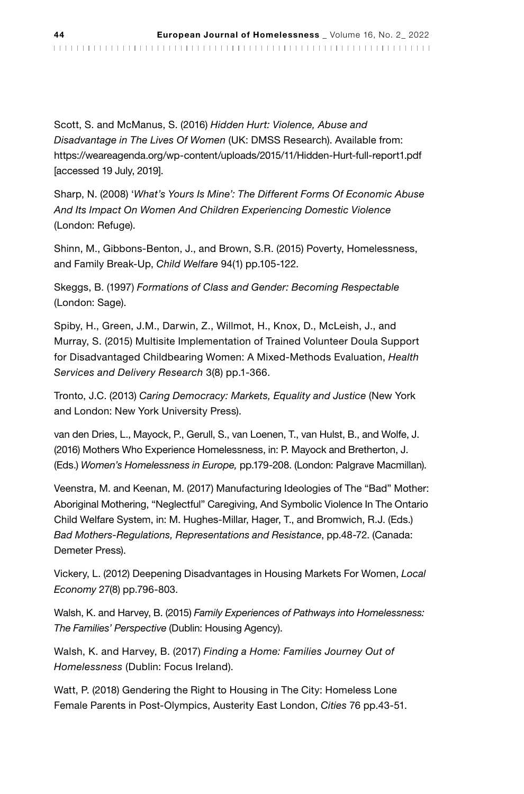Scott, S. and McManus, S. (2016) *Hidden Hurt: Violence, Abuse and Disadvantage in The Lives Of Women* (UK: DMSS Research). Available from: <https://weareagenda.org/wp-content/uploads/2015/11/Hidden-Hurt-full-report1.pdf> [\[accessed](https://weareagenda.org/wp-content/uploads/2015/11/Hidden-Hurt-full-report1.pdf) 19 July, 2019].

Sharp, N. (2008) '*What's Yours Is Mine': The Different Forms Of Economic Abuse And Its Impact On Women And Children Experiencing Domestic Violence* (London: Refuge).

Shinn, M., Gibbons-Benton, J., and Brown, S.R. (2015) Poverty, Homelessness, and Family Break-Up, *Child Welfare* 94(1) pp.105-122.

Skeggs, B. (1997) *Formations of Class and Gender: Becoming Respectable* (London: Sage).

Spiby, H., Green, J.M., Darwin, Z., Willmot, H., Knox, D., McLeish, J., and Murray, S. (2015) Multisite Implementation of Trained Volunteer Doula Support for Disadvantaged Childbearing Women: A Mixed-Methods Evaluation, *Health Services and Delivery Research* 3(8) pp.1-366.

Tronto, J.C. (2013) *Caring Democracy: Markets, Equality and Justice* (New York and London: New York University Press).

van den Dries, L., Mayock, P., Gerull, S., van Loenen, T., van Hulst, B., and Wolfe, J. (2016) Mothers Who Experience Homelessness, in: P. Mayock and Bretherton, J. (Eds.) *Women's Homelessness in Europe,* pp.179-208. (London: Palgrave Macmillan).

Veenstra, M. and Keenan, M. (2017) Manufacturing Ideologies of The "Bad" Mother: Aboriginal Mothering, "Neglectful" Caregiving, And Symbolic Violence In The Ontario Child Welfare System, in: M. Hughes-Millar, Hager, T., and Bromwich, R.J. (Eds.) *Bad Mothers-Regulations, Representations and Resistance*, pp.48-72. (Canada: Demeter Press).

Vickery, L. (2012) Deepening Disadvantages in Housing Markets For Women, *Local Economy* 27(8) pp.796-803.

Walsh, K. and Harvey, B. (2015) *Family Experiences of Pathways into Homelessness: The Families' Perspective* (Dublin: Housing Agency).

Walsh, K. and Harvey, B. (2017) *Finding a Home: Families Journey Out of Homelessness* (Dublin: Focus Ireland).

Watt, P. (2018) Gendering the Right to Housing in The City: Homeless Lone Female Parents in Post-Olympics, Austerity East London, *Cities* 76 pp.43-51.